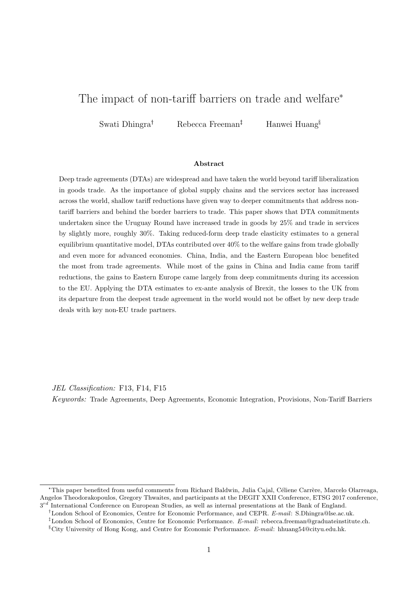# The impact of non-tariff barriers on trade and welfare\*

Swati Dhingra<sup>†</sup> Rebecca Freeman<sup>‡</sup> Hanwei Huang<sup>§</sup>

#### Abstract

Deep trade agreements (DTAs) are widespread and have taken the world beyond tariff liberalization in goods trade. As the importance of global supply chains and the services sector has increased across the world, shallow tariff reductions have given way to deeper commitments that address nontariff barriers and behind the border barriers to trade. This paper shows that DTA commitments undertaken since the Uruguay Round have increased trade in goods by 25% and trade in services by slightly more, roughly 30%. Taking reduced-form deep trade elasticity estimates to a general equilibrium quantitative model, DTAs contributed over 40% to the welfare gains from trade globally and even more for advanced economies. China, India, and the Eastern European bloc benefited the most from trade agreements. While most of the gains in China and India came from tariff reductions, the gains to Eastern Europe came largely from deep commitments during its accession to the EU. Applying the DTA estimates to ex-ante analysis of Brexit, the losses to the UK from its departure from the deepest trade agreement in the world would not be offset by new deep trade deals with key non-EU trade partners.

JEL Classification: F13, F14, F15

Keywords: Trade Agreements, Deep Agreements, Economic Integration, Provisions, Non-Tariff Barriers

<sup>\*</sup>This paper benefited from useful comments from Richard Baldwin, Julia Cajal, Céliene Carrère, Marcelo Olarreaga, Angelos Theodorakopoulos, Gregory Thwaites, and participants at the DEGIT XXII Conference, ETSG 2017 conference,  $3^{rd}$  International Conference on European Studies, as well as internal presentations at the Bank of England.

<sup>&</sup>lt;sup>†</sup>London School of Economics, Centre for Economic Performance, and CEPR. E-mail: S.Dhingra@lse.ac.uk.

<sup>&</sup>lt;sup>‡</sup>London School of Economics, Centre for Economic Performance. E-mail: rebecca.freeman@graduateinstitute.ch.  $$City University of Hong Kong, and Centre for Economic Performance. E-mail: hhuang54@cityu.edu.hk.$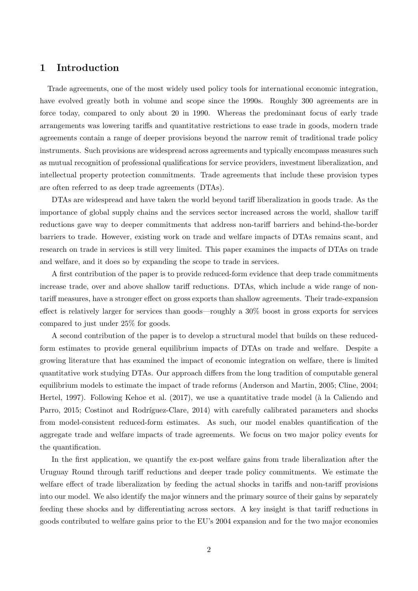## 1 Introduction

Trade agreements, one of the most widely used policy tools for international economic integration, have evolved greatly both in volume and scope since the 1990s. Roughly 300 agreements are in force today, compared to only about 20 in 1990. Whereas the predominant focus of early trade arrangements was lowering tariffs and quantitative restrictions to ease trade in goods, modern trade agreements contain a range of deeper provisions beyond the narrow remit of traditional trade policy instruments. Such provisions are widespread across agreements and typically encompass measures such as mutual recognition of professional qualifications for service providers, investment liberalization, and intellectual property protection commitments. Trade agreements that include these provision types are often referred to as deep trade agreements (DTAs).

DTAs are widespread and have taken the world beyond tariff liberalization in goods trade. As the importance of global supply chains and the services sector increased across the world, shallow tariff reductions gave way to deeper commitments that address non-tariff barriers and behind-the-border barriers to trade. However, existing work on trade and welfare impacts of DTAs remains scant, and research on trade in services is still very limited. This paper examines the impacts of DTAs on trade and welfare, and it does so by expanding the scope to trade in services.

A first contribution of the paper is to provide reduced-form evidence that deep trade commitments increase trade, over and above shallow tariff reductions. DTAs, which include a wide range of nontariff measures, have a stronger effect on gross exports than shallow agreements. Their trade-expansion effect is relatively larger for services than goods—roughly a 30% boost in gross exports for services compared to just under 25% for goods.

A second contribution of the paper is to develop a structural model that builds on these reducedform estimates to provide general equilibrium impacts of DTAs on trade and welfare. Despite a growing literature that has examined the impact of economic integration on welfare, there is limited quantitative work studying DTAs. Our approach differs from the long tradition of computable general equilibrium models to estimate the impact of trade reforms [\(Anderson and Martin, 2005;](#page-24-0) [Cline, 2004;](#page-24-1) [Hertel, 1997\)](#page-26-0). Following [Kehoe et al.](#page-26-1)  $(2017)$ , we use a quantitative trade model (à la [Caliendo and](#page-24-2) [Parro, 2015;](#page-24-2) Costinot and Rodríguez-Clare, 2014) with carefully calibrated parameters and shocks from model-consistent reduced-form estimates. As such, our model enables quantification of the aggregate trade and welfare impacts of trade agreements. We focus on two major policy events for the quantification.

In the first application, we quantify the ex-post welfare gains from trade liberalization after the Uruguay Round through tariff reductions and deeper trade policy commitments. We estimate the welfare effect of trade liberalization by feeding the actual shocks in tariffs and non-tariff provisions into our model. We also identify the major winners and the primary source of their gains by separately feeding these shocks and by differentiating across sectors. A key insight is that tariff reductions in goods contributed to welfare gains prior to the EU's 2004 expansion and for the two major economies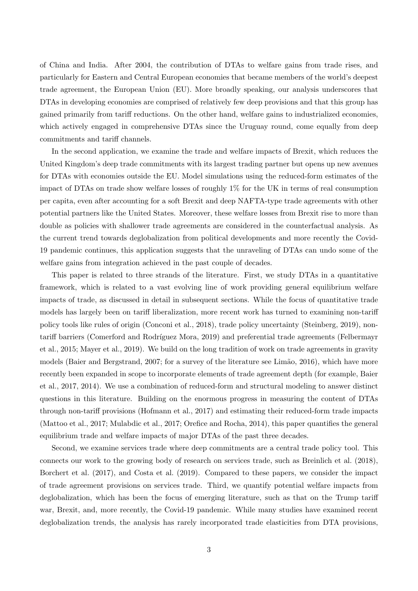of China and India. After 2004, the contribution of DTAs to welfare gains from trade rises, and particularly for Eastern and Central European economies that became members of the world's deepest trade agreement, the European Union (EU). More broadly speaking, our analysis underscores that DTAs in developing economies are comprised of relatively few deep provisions and that this group has gained primarily from tariff reductions. On the other hand, welfare gains to industrialized economies, which actively engaged in comprehensive DTAs since the Uruguay round, come equally from deep commitments and tariff channels.

In the second application, we examine the trade and welfare impacts of Brexit, which reduces the United Kingdom's deep trade commitments with its largest trading partner but opens up new avenues for DTAs with economies outside the EU. Model simulations using the reduced-form estimates of the impact of DTAs on trade show welfare losses of roughly 1% for the UK in terms of real consumption per capita, even after accounting for a soft Brexit and deep NAFTA-type trade agreements with other potential partners like the United States. Moreover, these welfare losses from Brexit rise to more than double as policies with shallower trade agreements are considered in the counterfactual analysis. As the current trend towards deglobalization from political developments and more recently the Covid-19 pandemic continues, this application suggests that the unraveling of DTAs can undo some of the welfare gains from integration achieved in the past couple of decades.

This paper is related to three strands of the literature. First, we study DTAs in a quantitative framework, which is related to a vast evolving line of work providing general equilibrium welfare impacts of trade, as discussed in detail in subsequent sections. While the focus of quantitative trade models has largely been on tariff liberalization, more recent work has turned to examining non-tariff policy tools like rules of origin [\(Conconi et al., 2018\)](#page-25-1), trade policy uncertainty [\(Steinberg, 2019\)](#page-26-2), non-tariff barriers (Comerford and Rodríguez Mora, 2019) and preferential trade agreements [\(Felbermayr](#page-25-3) [et al., 2015;](#page-25-3) [Mayer et al., 2019\)](#page-26-3). We build on the long tradition of work on trade agreements in gravity models [\(Baier and Bergstrand, 2007;](#page-24-3) for a survey of the literature see Limão, 2016), which have more recently been expanded in scope to incorporate elements of trade agreement depth (for example, [Baier](#page-24-4) [et al., 2017,](#page-24-4) [2014\)](#page-24-5). We use a combination of reduced-form and structural modeling to answer distinct questions in this literature. Building on the enormous progress in measuring the content of DTAs through non-tariff provisions [\(Hofmann et al., 2017\)](#page-26-5) and estimating their reduced-form trade impacts [\(Mattoo et al., 2017;](#page-26-6) [Mulabdic et al., 2017;](#page-26-7) [Orefice and Rocha, 2014\)](#page-26-8), this paper quantifies the general equilibrium trade and welfare impacts of major DTAs of the past three decades.

Second, we examine services trade where deep commitments are a central trade policy tool. This connects our work to the growing body of research on services trade, such as [Breinlich et al.](#page-24-6) [\(2018\)](#page-24-6), [Borchert et al.](#page-24-7) [\(2017\)](#page-24-7), and [Costa et al.](#page-25-4) [\(2019\)](#page-25-4). Compared to these papers, we consider the impact of trade agreement provisions on services trade. Third, we quantify potential welfare impacts from deglobalization, which has been the focus of emerging literature, such as that on the Trump tariff war, Brexit, and, more recently, the Covid-19 pandemic. While many studies have examined recent deglobalization trends, the analysis has rarely incorporated trade elasticities from DTA provisions,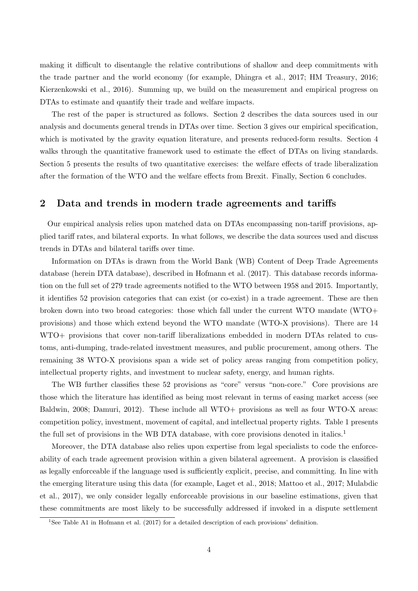making it difficult to disentangle the relative contributions of shallow and deep commitments with the trade partner and the world economy (for example, [Dhingra et al., 2017;](#page-25-5) [HM Treasury, 2016;](#page-26-9) [Kierzenkowski et al., 2016\)](#page-26-10). Summing up, we build on the measurement and empirical progress on DTAs to estimate and quantify their trade and welfare impacts.

The rest of the paper is structured as follows. Section 2 describes the data sources used in our analysis and documents general trends in DTAs over time. Section 3 gives our empirical specification, which is motivated by the gravity equation literature, and presents reduced-form results. Section 4 walks through the quantitative framework used to estimate the effect of DTAs on living standards. Section 5 presents the results of two quantitative exercises: the welfare effects of trade liberalization after the formation of the WTO and the welfare effects from Brexit. Finally, Section 6 concludes.

## 2 Data and trends in modern trade agreements and tariffs

Our empirical analysis relies upon matched data on DTAs encompassing non-tariff provisions, applied tariff rates, and bilateral exports. In what follows, we describe the data sources used and discuss trends in DTAs and bilateral tariffs over time.

Information on DTAs is drawn from the World Bank (WB) Content of Deep Trade Agreements database (herein DTA database), described in [Hofmann et al.](#page-26-5) [\(2017\)](#page-26-5). This database records information on the full set of 279 trade agreements notified to the WTO between 1958 and 2015. Importantly, it identifies 52 provision categories that can exist (or co-exist) in a trade agreement. These are then broken down into two broad categories: those which fall under the current WTO mandate (WTO+ provisions) and those which extend beyond the WTO mandate (WTO-X provisions). There are 14 WTO+ provisions that cover non-tariff liberalizations embedded in modern DTAs related to customs, anti-dumping, trade-related investment measures, and public procurement, among others. The remaining 38 WTO-X provisions span a wide set of policy areas ranging from competition policy, intellectual property rights, and investment to nuclear safety, energy, and human rights.

The WB further classifies these 52 provisions as "core" versus "non-core." Core provisions are those which the literature has identified as being most relevant in terms of easing market access (see [Baldwin, 2008;](#page-24-8) [Damuri, 2012\)](#page-25-6). These include all WTO+ provisions as well as four WTO-X areas: competition policy, investment, movement of capital, and intellectual property rights. Table [1](#page-4-0) presents the full set of provisions in the WB DTA database, with core provisions denoted in italics.<sup>[1](#page-3-0)</sup>

Moreover, the DTA database also relies upon expertise from legal specialists to code the enforceability of each trade agreement provision within a given bilateral agreement. A provision is classified as legally enforceable if the language used is sufficiently explicit, precise, and committing. In line with the emerging literature using this data (for example, [Laget et al., 2018;](#page-26-11) [Mattoo et al., 2017;](#page-26-6) [Mulabdic](#page-26-7) [et al., 2017\)](#page-26-7), we only consider legally enforceable provisions in our baseline estimations, given that these commitments are most likely to be successfully addressed if invoked in a dispute settlement

<span id="page-3-0"></span><sup>1</sup>See Table A1 in [Hofmann et al.](#page-26-5) [\(2017\)](#page-26-5) for a detailed description of each provisions' definition.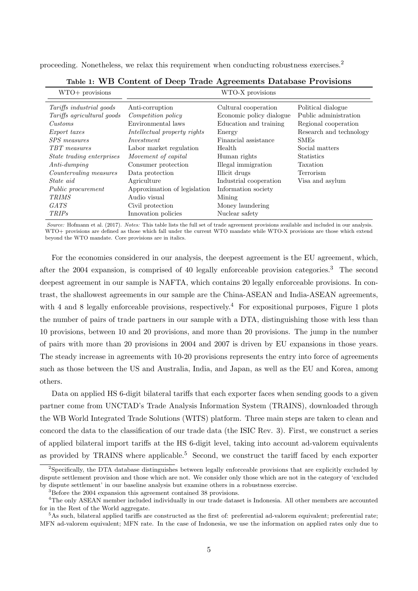proceeding. Nonetheless, we relax this requirement when conducting robustness exercises.[2](#page-4-1)

<span id="page-4-0"></span>

| $WTO+$ provisions               |                              | WTO-X provisions         |                         |
|---------------------------------|------------------------------|--------------------------|-------------------------|
| <i>Tariffs industrial goods</i> | Anti-corruption              | Cultural cooperation     | Political dialogue      |
| Tariffs agricultural goods      | Competition policy           | Economic policy dialogue | Public administration   |
| Customs                         | Environmental laws           | Education and training   | Regional cooperation    |
| <i>Export taxes</i>             | Intellectual property rights | Energy                   | Research and technology |
| SPS measures                    | Investment                   | Financial assistance     | <b>SMEs</b>             |
| TBT measures                    | Labor market regulation      | Health                   | Social matters          |
| State trading enterprises       | Movement of capital          | Human rights             | <b>Statistics</b>       |
| $Anti\text{-}dumping$           | Consumer protection          | Illegal immigration      | Taxation                |
| Countervaling measures          | Data protection              | Illicit drugs            | Terrorism               |
| State aid                       | Agriculture                  | Industrial cooperation   | Visa and asylum         |
| <i>Public procurement</i>       | Approximation of legislation | Information society      |                         |
| <b>TRIMS</b>                    | Audio visual                 | Mining                   |                         |
| <i>GATS</i>                     | Civil protection             | Money laundering         |                         |
| <i>TRIPs</i>                    | Innovation policies          | Nuclear safety           |                         |

Table 1: WB Content of Deep Trade Agreements Database Provisions

Source: [Hofmann et al.](#page-26-5) [\(2017\)](#page-26-5). Notes: This table lists the full set of trade agreement provisions available and included in our analysis. WTO+ provisions are defined as those which fall under the current WTO mandate while WTO-X provisions are those which extend beyond the WTO mandate. Core provisions are in italics.

For the economies considered in our analysis, the deepest agreement is the EU agreement, which, after the 2004 expansion, is comprised of 40 legally enforceable provision categories.[3](#page-4-2) The second deepest agreement in our sample is NAFTA, which contains 20 legally enforceable provisions. In contrast, the shallowest agreements in our sample are the China-ASEAN and India-ASEAN agreements, with [4](#page-4-3) and 8 legally enforceable provisions, respectively.<sup>4</sup> For expositional purposes, Figure [1](#page-5-0) plots the number of pairs of trade partners in our sample with a DTA, distinguishing those with less than 10 provisions, between 10 and 20 provisions, and more than 20 provisions. The jump in the number of pairs with more than 20 provisions in 2004 and 2007 is driven by EU expansions in those years. The steady increase in agreements with 10-20 provisions represents the entry into force of agreements such as those between the US and Australia, India, and Japan, as well as the EU and Korea, among others.

Data on applied HS 6-digit bilateral tariffs that each exporter faces when sending goods to a given partner come from UNCTAD's Trade Analysis Information System (TRAINS), downloaded through the WB World Integrated Trade Solutions (WITS) platform. Three main steps are taken to clean and concord the data to the classification of our trade data (the ISIC Rev. 3). First, we construct a series of applied bilateral import tariffs at the HS 6-digit level, taking into account ad-valorem equivalents as provided by TRAINS where applicable.<sup>[5](#page-4-4)</sup> Second, we construct the tariff faced by each exporter

<span id="page-4-1"></span> $2$ Specifically, the DTA database distinguishes between legally enforceable provisions that are explicitly excluded by dispute settlement provision and those which are not. We consider only those which are not in the category of 'excluded by dispute settlement' in our baseline analysis but examine others in a robustness exercise.

<span id="page-4-3"></span><span id="page-4-2"></span><sup>&</sup>lt;sup>3</sup>Before the 2004 expansion this agreement contained 38 provisions.

<sup>4</sup>The only ASEAN member included individually in our trade dataset is Indonesia. All other members are accounted for in the Rest of the World aggregate.

<span id="page-4-4"></span><sup>5</sup>As such, bilateral applied tariffs are constructed as the first of: preferential ad-valorem equivalent; preferential rate; MFN ad-valorem equivalent; MFN rate. In the case of Indonesia, we use the information on applied rates only due to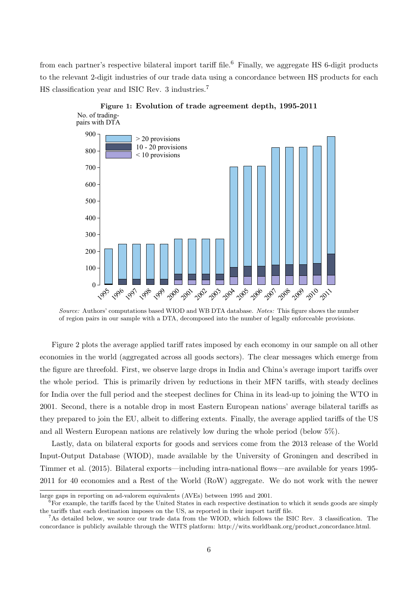from each partner's respective bilateral import tariff file.<sup>[6](#page-5-1)</sup> Finally, we aggregate HS 6-digit products to the relevant 2-digit industries of our trade data using a concordance between HS products for each HS classification year and ISIC Rev. 3 industries.[7](#page-5-2)

<span id="page-5-0"></span>

Figure 1: Evolution of trade agreement depth, 1995-2011

Source: Authors' computations based WIOD and WB DTA database. Notes: This figure shows the number of region pairs in our sample with a DTA, decomposed into the number of legally enforceable provisions.

Figure [2](#page-6-0) plots the average applied tariff rates imposed by each economy in our sample on all other economies in the world (aggregated across all goods sectors). The clear messages which emerge from the figure are threefold. First, we observe large drops in India and China's average import tariffs over the whole period. This is primarily driven by reductions in their MFN tariffs, with steady declines for India over the full period and the steepest declines for China in its lead-up to joining the WTO in 2001. Second, there is a notable drop in most Eastern European nations' average bilateral tariffs as they prepared to join the EU, albeit to differing extents. Finally, the average applied tariffs of the US and all Western European nations are relatively low during the whole period (below 5%).

Lastly, data on bilateral exports for goods and services come from the 2013 release of the World Input-Output Database (WIOD), made available by the University of Groningen and described in [Timmer et al.](#page-27-0) [\(2015\)](#page-27-0). Bilateral exports—including intra-national flows—are available for years 1995- 2011 for 40 economies and a Rest of the World (RoW) aggregate. We do not work with the newer

large gaps in reporting on ad-valorem equivalents (AVEs) between 1995 and 2001.

<span id="page-5-1"></span> $6$ For example, the tariffs faced by the United States in each respective destination to which it sends goods are simply the tariffs that each destination imposes on the US, as reported in their import tariff file.

<span id="page-5-2"></span><sup>7</sup>As detailed below, we source our trade data from the WIOD, which follows the ISIC Rev. 3 classification. The concordance is publicly available through the WITS platform: [http://wits.worldbank.org/product](http://wits.worldbank.org/product%5C_concordance.html) concordance.html.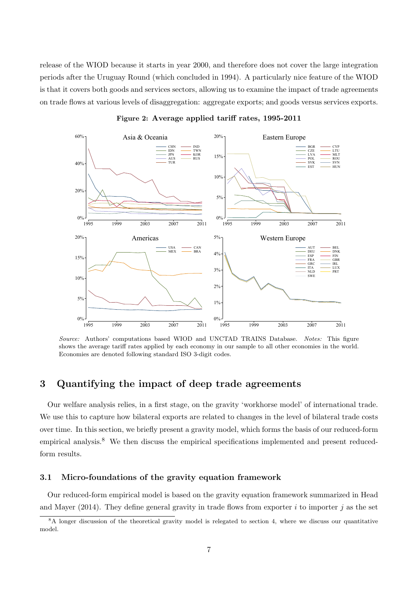release of the WIOD because it starts in year 2000, and therefore does not cover the large integration periods after the Uruguay Round (which concluded in 1994). A particularly nice feature of the WIOD is that it covers both goods and services sectors, allowing us to examine the impact of trade agreements on trade flows at various levels of disaggregation: aggregate exports; and goods versus services exports.

<span id="page-6-0"></span>

Figure 2: Average applied tariff rates, 1995-2011

Source: Authors' computations based WIOD and UNCTAD TRAINS Database. Notes: This figure shows the average tariff rates applied by each economy in our sample to all other economies in the world. Economies are denoted following standard ISO 3-digit codes.

## 3 Quantifying the impact of deep trade agreements

Our welfare analysis relies, in a first stage, on the gravity 'workhorse model' of international trade. We use this to capture how bilateral exports are related to changes in the level of bilateral trade costs over time. In this section, we briefly present a gravity model, which forms the basis of our reduced-form empirical analysis.<sup>[8](#page-6-1)</sup> We then discuss the empirical specifications implemented and present reducedform results.

### 3.1 Micro-foundations of the gravity equation framework

Our reduced-form empirical model is based on the gravity equation framework summarized in [Head](#page-25-7) [and Mayer](#page-25-7) [\(2014\)](#page-25-7). They define general gravity in trade flows from exporter i to importer j as the set

<span id="page-6-1"></span><sup>&</sup>lt;sup>8</sup>A longer discussion of the theoretical gravity model is relegated to section [4,](#page-10-0) where we discuss our quantitative model.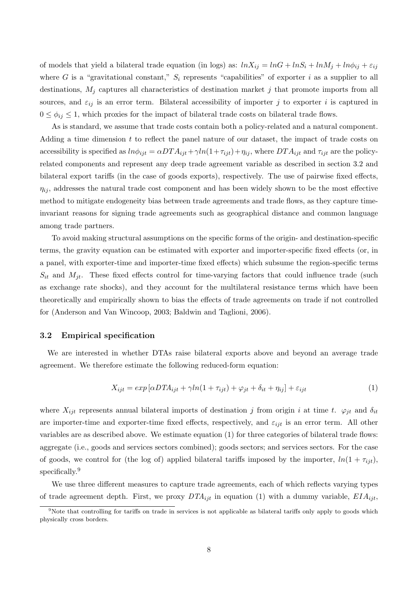of models that yield a bilateral trade equation (in logs) as:  $ln X_{ij} = ln G + ln S_i + ln M_j + ln \phi_{ij} + \varepsilon_{ij}$ where G is a "gravitational constant,"  $S_i$  represents "capabilities" of exporter i as a supplier to all destinations,  $M_j$  captures all characteristics of destination market j that promote imports from all sources, and  $\varepsilon_{ij}$  is an error term. Bilateral accessibility of importer j to exporter i is captured in  $0 \le \phi_{ij} \le 1$ , which proxies for the impact of bilateral trade costs on bilateral trade flows.

As is standard, we assume that trade costs contain both a policy-related and a natural component. Adding a time dimension t to reflect the panel nature of our dataset, the impact of trade costs on accessibility is specified as  $ln \phi_{ijt} = \alpha D T A_{ijt} + \gamma ln(1+\tau_{ijt}) + \eta_{ij}$ , where  $DT A_{ijt}$  and  $\tau_{ijt}$  are the policyrelated components and represent any deep trade agreement variable as described in section [3.2](#page-7-0) and bilateral export tariffs (in the case of goods exports), respectively. The use of pairwise fixed effects,  $\eta_{ij}$ , addresses the natural trade cost component and has been widely shown to be the most effective method to mitigate endogeneity bias between trade agreements and trade flows, as they capture timeinvariant reasons for signing trade agreements such as geographical distance and common language among trade partners.

To avoid making structural assumptions on the specific forms of the origin- and destination-specific terms, the gravity equation can be estimated with exporter and importer-specific fixed effects (or, in a panel, with exporter-time and importer-time fixed effects) which subsume the region-specific terms  $S_{it}$  and  $M_{it}$ . These fixed effects control for time-varying factors that could influence trade (such as exchange rate shocks), and they account for the multilateral resistance terms which have been theoretically and empirically shown to bias the effects of trade agreements on trade if not controlled for [\(Anderson and Van Wincoop, 2003;](#page-24-9) [Baldwin and Taglioni, 2006\)](#page-24-10).

### <span id="page-7-0"></span>3.2 Empirical specification

We are interested in whether DTAs raise bilateral exports above and beyond an average trade agreement. We therefore estimate the following reduced-form equation:

<span id="page-7-1"></span>
$$
X_{ijt} = exp[\alpha DTA_{ijt} + \gamma ln(1 + \tau_{ijt}) + \varphi_{jt} + \delta_{it} + \eta_{ij}] + \varepsilon_{ijt}
$$
\n(1)

where  $X_{ijt}$  represents annual bilateral imports of destination j from origin i at time t.  $\varphi_{jt}$  and  $\delta_{it}$ are importer-time and exporter-time fixed effects, respectively, and  $\varepsilon_{ijt}$  is an error term. All other variables are as described above. We estimate equation [\(1\)](#page-7-1) for three categories of bilateral trade flows: aggregate (i.e., goods and services sectors combined); goods sectors; and services sectors. For the case of goods, we control for (the log of) applied bilateral tariffs imposed by the importer,  $ln(1 + \tau_{ijt})$ , specifically.<sup>[9](#page-7-2)</sup>

We use three different measures to capture trade agreements, each of which reflects varying types of trade agreement depth. First, we proxy  $DTA_{ijt}$  in equation [\(1\)](#page-7-1) with a dummy variable,  $EIA_{ijt}$ ,

<span id="page-7-2"></span><sup>&</sup>lt;sup>9</sup>Note that controlling for tariffs on trade in services is not applicable as bilateral tariffs only apply to goods which physically cross borders.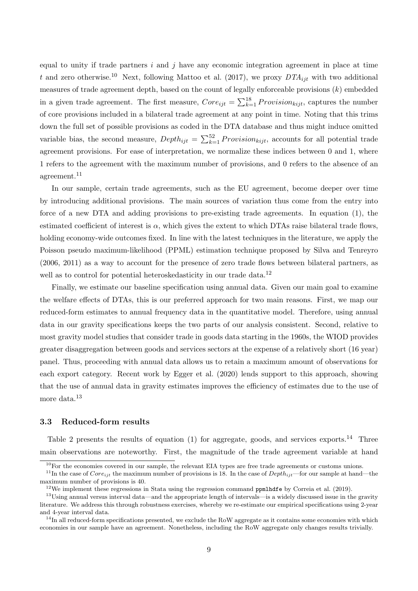equal to unity if trade partners  $i$  and  $j$  have any economic integration agreement in place at time t and zero otherwise.<sup>[10](#page-8-0)</sup> Next, following [Mattoo et al.](#page-26-6) [\(2017\)](#page-26-6), we proxy  $DTA_{ijt}$  with two additional measures of trade agreement depth, based on the count of legally enforceable provisions  $(k)$  embedded in a given trade agreement. The first measure,  $Core_{ijt} = \sum_{k=1}^{18} Provision_{kijt}$ , captures the number of core provisions included in a bilateral trade agreement at any point in time. Noting that this trims down the full set of possible provisions as coded in the DTA database and thus might induce omitted variable bias, the second measure,  $Depth_{ijt} = \sum_{k=1}^{52} Provision_{kijt}$ , accounts for all potential trade agreement provisions. For ease of interpretation, we normalize these indices between 0 and 1, where 1 refers to the agreement with the maximum number of provisions, and 0 refers to the absence of an agreement.[11](#page-8-1)

In our sample, certain trade agreements, such as the EU agreement, become deeper over time by introducing additional provisions. The main sources of variation thus come from the entry into force of a new DTA and adding provisions to pre-existing trade agreements. In equation [\(1\)](#page-7-1), the estimated coefficient of interest is  $\alpha$ , which gives the extent to which DTAs raise bilateral trade flows, holding economy-wide outcomes fixed. In line with the latest techniques in the literature, we apply the Poisson pseudo maximum-likelihood (PPML) estimation technique proposed by [Silva and Tenreyro](#page-26-12) [\(2006,](#page-26-12) [2011\)](#page-26-13) as a way to account for the presence of zero trade flows between bilateral partners, as well as to control for potential heteroskedasticity in our trade data.<sup>[12](#page-8-2)</sup>

Finally, we estimate our baseline specification using annual data. Given our main goal to examine the welfare effects of DTAs, this is our preferred approach for two main reasons. First, we map our reduced-form estimates to annual frequency data in the quantitative model. Therefore, using annual data in our gravity specifications keeps the two parts of our analysis consistent. Second, relative to most gravity model studies that consider trade in goods data starting in the 1960s, the WIOD provides greater disaggregation between goods and services sectors at the expense of a relatively short (16 year) panel. Thus, proceeding with annual data allows us to retain a maximum amount of observations for each export category. Recent work by [Egger et al.](#page-25-8) [\(2020\)](#page-25-8) lends support to this approach, showing that the use of annual data in gravity estimates improves the efficiency of estimates due to the use of more data.<sup>[13](#page-8-3)</sup>

#### 3.3 Reduced-form results

Table [2](#page-9-0) presents the results of equation [\(1\)](#page-7-1) for aggregate, goods, and services exports.<sup>[14](#page-8-4)</sup> Three main observations are noteworthy. First, the magnitude of the trade agreement variable at hand

<span id="page-8-1"></span><span id="page-8-0"></span><sup>&</sup>lt;sup>10</sup>For the economies covered in our sample, the relevant EIA types are free trade agreements or customs unions.

<sup>&</sup>lt;sup>11</sup>In the case of Core<sub>ijt</sub> the maximum number of provisions is 18. In the case of Depth<sub>ijt</sub>—for our sample at hand—the maximum number of provisions is 40.

<span id="page-8-3"></span><span id="page-8-2"></span> $12$ We implement these regressions in Stata using the regression command ppmlhdfe by [Correia et al.](#page-25-9) [\(2019\)](#page-25-9).

 $13$ Using annual versus interval data—and the appropriate length of intervals—is a widely discussed issue in the gravity literature. We address this through robustness exercises, whereby we re-estimate our empirical specifications using 2-year and 4-year interval data.

<span id="page-8-4"></span> $14$ In all reduced-form specifications presented, we exclude the RoW aggregate as it contains some economies with which economies in our sample have an agreement. Nonetheless, including the RoW aggregate only changes results trivially.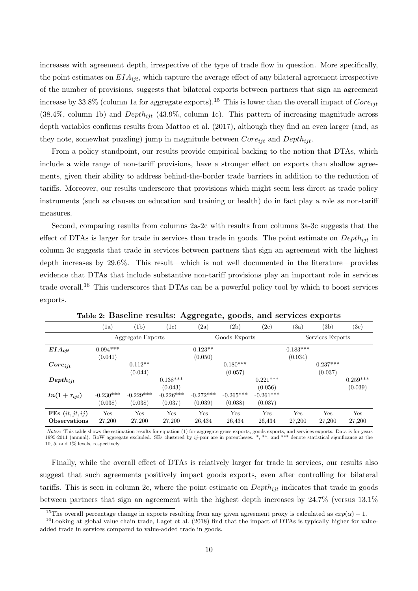increases with agreement depth, irrespective of the type of trade flow in question. More specifically, the point estimates on  $EIA_{ijt}$ , which capture the average effect of any bilateral agreement irrespective of the number of provisions, suggests that bilateral exports between partners that sign an agreement increase by 33.8% (column 1a for aggregate exports).<sup>[15](#page-9-1)</sup> This is lower than the overall impact of  $Core_{ijt}$  $(38.4\%$ , column 1b) and  $Depth_{ijt}$   $(43.9\%$ , column 1c). This pattern of increasing magnitude across depth variables confirms results from [Mattoo et al.](#page-26-6) [\(2017\)](#page-26-6), although they find an even larger (and, as they note, somewhat puzzling) jump in magnitude between  $Core_{ijt}$  and  $Depth_{ijt}$ .

From a policy standpoint, our results provide empirical backing to the notion that DTAs, which include a wide range of non-tariff provisions, have a stronger effect on exports than shallow agreements, given their ability to address behind-the-border trade barriers in addition to the reduction of tariffs. Moreover, our results underscore that provisions which might seem less direct as trade policy instruments (such as clauses on education and training or health) do in fact play a role as non-tariff measures.

Second, comparing results from columns 2a-2c with results from columns 3a-3c suggests that the effect of DTAs is larger for trade in services than trade in goods. The point estimate on  $Depth_{ijt}$  in column 3c suggests that trade in services between partners that sign an agreement with the highest depth increases by 29.6%. This result—which is not well documented in the literature—provides evidence that DTAs that include substantive non-tariff provisions play an important role in services trade overall.<sup>[16](#page-9-2)</sup> This underscores that DTAs can be a powerful policy tool by which to boost services exports.

<span id="page-9-0"></span>

|                     | (1a)        | (1b)              | $\rm (1c)$  | (2a)          | (2b)        | (2c)        | (3a)             | (3b)       | $^{(3c)}$  |
|---------------------|-------------|-------------------|-------------|---------------|-------------|-------------|------------------|------------|------------|
|                     |             | Aggregate Exports |             | Goods Exports |             |             | Services Exports |            |            |
| $EIA_{ijt}$         | $0.094***$  |                   |             | $0.123**$     |             |             | $0.183***$       |            |            |
|                     | (0.041)     |                   |             | (0.050)       |             |             | (0.034)          |            |            |
| $Core_{iit}$        |             | $0.112**$         |             |               | $0.180***$  |             |                  | $0.237***$ |            |
|                     |             | (0.044)           |             |               | (0.057)     |             |                  | (0.037)    |            |
| $Depth_{ijt}$       |             |                   | $0.138***$  |               |             | $0.221***$  |                  |            | $0.259***$ |
|                     |             |                   | (0.043)     |               |             | (0.056)     |                  |            | (0.039)    |
| $ln(1+\tau_{ijt})$  | $-0.230***$ | $-0.229***$       | $-0.226***$ | $-0.272***$   | $-0.265***$ | $-0.261***$ |                  |            |            |
|                     | (0.038)     | (0.038)           | (0.037)     | (0.039)       | (0.038)     | (0.037)     |                  |            |            |
| FEs $(it, jt, ij)$  | Yes         | Yes               | Yes         | Yes           | Yes         | Yes         | Yes              | Yes        | Yes        |
| <b>Observations</b> | 27,200      | 27,200            | 27,200      | 26,434        | 26,434      | 26,434      | 27,200           | 27,200     | 27,200     |

Table 2: Baseline results: Aggregate, goods, and services exports

Notes: This table shows the estimation results for equation [\(1\)](#page-7-1) for aggregate gross exports, goods exports, and services exports. Data is for years 1995-2011 (annual). RoW aggregate excluded. SEs clustered by  $ij$ -pair are in parentheses.  $*$ ,  $**$ , and  $***$  denote statistical significance at the 10, 5, and 1% levels, respectively.

Finally, while the overall effect of DTAs is relatively larger for trade in services, our results also suggest that such agreements positively impact goods exports, even after controlling for bilateral tariffs. This is seen in column 2c, where the point estimate on  $Depth_{ijt}$  indicates that trade in goods between partners that sign an agreement with the highest depth increases by 24.7% (versus 13.1%

<span id="page-9-2"></span><span id="page-9-1"></span><sup>&</sup>lt;sup>15</sup>The overall percentage change in exports resulting from any given agreement proxy is calculated as  $exp(\alpha) - 1$ .

 $16$ Looking at global value chain trade, [Laget et al.](#page-26-11) [\(2018\)](#page-26-11) find that the impact of DTAs is typically higher for valueadded trade in services compared to value-added trade in goods.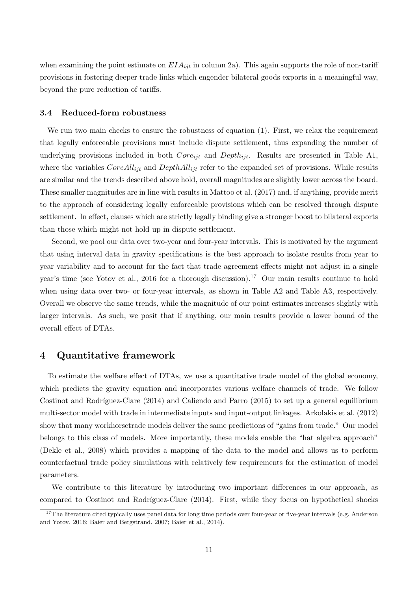when examining the point estimate on  $EIA_{ijt}$  in column 2a). This again supports the role of non-tariff provisions in fostering deeper trade links which engender bilateral goods exports in a meaningful way, beyond the pure reduction of tariffs.

## 3.4 Reduced-form robustness

We run two main checks to ensure the robustness of equation [\(1\)](#page-7-1). First, we relax the requirement that legally enforceable provisions must include dispute settlement, thus expanding the number of underlying provisions included in both  $Core_{ijt}$  and  $Depth_{ijt}$ . Results are presented in Table [A1,](#page-28-0) where the variables  $CoreAll_{ijt}$  and  $DepthAll_{ijt}$  refer to the expanded set of provisions. While results are similar and the trends described above hold, overall magnitudes are slightly lower across the board. These smaller magnitudes are in line with results in [Mattoo et al.](#page-26-6) [\(2017\)](#page-26-6) and, if anything, provide merit to the approach of considering legally enforceable provisions which can be resolved through dispute settlement. In effect, clauses which are strictly legally binding give a stronger boost to bilateral exports than those which might not hold up in dispute settlement.

Second, we pool our data over two-year and four-year intervals. This is motivated by the argument that using interval data in gravity specifications is the best approach to isolate results from year to year variability and to account for the fact that trade agreement effects might not adjust in a single year's time (see [Yotov et al., 2016](#page-27-1) for a thorough discussion).<sup>[17](#page-10-1)</sup> Our main results continue to hold when using data over two- or four-year intervals, as shown in Table [A2](#page-28-1) and Table [A3,](#page-28-2) respectively. Overall we observe the same trends, while the magnitude of our point estimates increases slightly with larger intervals. As such, we posit that if anything, our main results provide a lower bound of the overall effect of DTAs.

## <span id="page-10-0"></span>4 Quantitative framework

To estimate the welfare effect of DTAs, we use a quantitative trade model of the global economy, which predicts the gravity equation and incorporates various welfare channels of trade. We follow Costinot and Rodríguez-Clare  $(2014)$  and [Caliendo and Parro](#page-24-2)  $(2015)$  to set up a general equilibrium multi-sector model with trade in intermediate inputs and input-output linkages. [Arkolakis et al.](#page-24-11) [\(2012\)](#page-24-11) show that many workhorsetrade models deliver the same predictions of "gains from trade." Our model belongs to this class of models. More importantly, these models enable the "hat algebra approach" [\(Dekle et al., 2008\)](#page-25-10) which provides a mapping of the data to the model and allows us to perform counterfactual trade policy simulations with relatively few requirements for the estimation of model parameters.

We contribute to this literature by introducing two important differences in our approach, as compared to Costinot and Rodríguez-Clare [\(2014\)](#page-25-0). First, while they focus on hypothetical shocks

<span id="page-10-1"></span><sup>&</sup>lt;sup>17</sup>The literature cited typically uses panel data for long time periods over four-year or five-year intervals (e.g. [Anderson](#page-24-12) [and Yotov, 2016;](#page-24-12) [Baier and Bergstrand, 2007;](#page-24-3) [Baier et al., 2014\)](#page-24-5).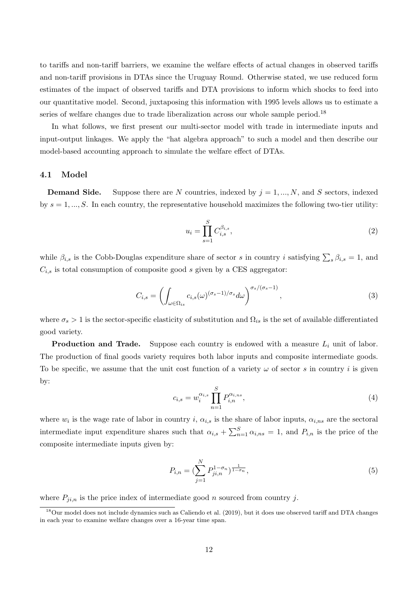to tariffs and non-tariff barriers, we examine the welfare effects of actual changes in observed tariffs and non-tariff provisions in DTAs since the Uruguay Round. Otherwise stated, we use reduced form estimates of the impact of observed tariffs and DTA provisions to inform which shocks to feed into our quantitative model. Second, juxtaposing this information with 1995 levels allows us to estimate a series of welfare changes due to trade liberalization across our whole sample period.<sup>[18](#page-11-0)</sup>

In what follows, we first present our multi-sector model with trade in intermediate inputs and input-output linkages. We apply the "hat algebra approach" to such a model and then describe our model-based accounting approach to simulate the welfare effect of DTAs.

#### 4.1 Model

**Demand Side.** Suppose there are N countries, indexed by  $j = 1, ..., N$ , and S sectors, indexed by  $s = 1, ..., S$ . In each country, the representative household maximizes the following two-tier utility:

<span id="page-11-2"></span>
$$
u_i = \prod_{s=1}^{S} C_{i,s}^{\beta_{i,s}},
$$
\n(2)

while  $\beta_{i,s}$  is the Cobb-Douglas expenditure share of sector s in country i satisfying  $\sum_s \beta_{i,s} = 1$ , and  $C_{i,s}$  is total consumption of composite good s given by a CES aggregator:

$$
C_{i,s} = \left(\int_{\omega \in \Omega_{is}} c_{i,s}(\omega)^{(\sigma_s - 1)/\sigma_s} d\omega \right)^{\sigma_s/(\sigma_s - 1)},\tag{3}
$$

where  $\sigma_s > 1$  is the sector-specific elasticity of substitution and  $\Omega_{is}$  is the set of available differentiated good variety.

**Production and Trade.** Suppose each country is endowed with a measure  $L_i$  unit of labor. The production of final goods variety requires both labor inputs and composite intermediate goods. To be specific, we assume that the unit cost function of a variety  $\omega$  of sector s in country i is given by:

<span id="page-11-1"></span>
$$
c_{i,s} = w_i^{\alpha_{i,s}} \prod_{n=1}^{S} P_{i,n}^{\alpha_{i,ns}},
$$
\n(4)

where  $w_i$  is the wage rate of labor in country i,  $\alpha_{i,s}$  is the share of labor inputs,  $\alpha_{i,ns}$  are the sectoral intermediate input expenditure shares such that  $\alpha_{i,s} + \sum_{n=1}^{S} \alpha_{i,ns} = 1$ , and  $P_{i,n}$  is the price of the composite intermediate inputs given by:

$$
P_{i,n} = \left(\sum_{j=1}^{N} P_{ji,n}^{1-\sigma_n}\right)^{\frac{1}{1-\sigma_n}},\tag{5}
$$

where  $P_{ji,n}$  is the price index of intermediate good n sourced from country j.

<span id="page-11-0"></span> $^{18}$ Our model does not include dynamics such as [Caliendo et al.](#page-24-13) [\(2019\)](#page-24-13), but it does use observed tariff and DTA changes in each year to examine welfare changes over a 16-year time span.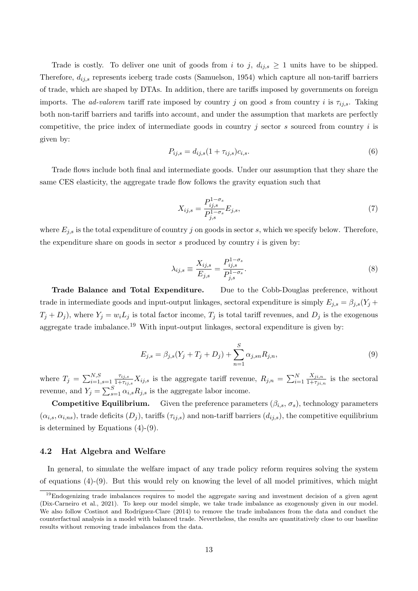Trade is costly. To deliver one unit of goods from i to j,  $d_{ij,s} \geq 1$  units have to be shipped. Therefore,  $d_{ij,s}$  represents iceberg trade costs [\(Samuelson, 1954\)](#page-26-14) which capture all non-tariff barriers of trade, which are shaped by DTAs. In addition, there are tariffs imposed by governments on foreign imports. The *ad-valorem* tariff rate imposed by country j on good s from country i is  $\tau_{ij,s}$ . Taking both non-tariff barriers and tariffs into account, and under the assumption that markets are perfectly competitive, the price index of intermediate goods in country j sector s sourced from country  $i$  is given by:

$$
P_{ij,s} = d_{ij,s}(1 + \tau_{ij,s})c_{i,s}.
$$
\n(6)

Trade flows include both final and intermediate goods. Under our assumption that they share the same CES elasticity, the aggregate trade flow follows the gravity equation such that

$$
X_{ij,s} = \frac{P_{ij,s}^{1-\sigma_s}}{P_{j,s}^{1-\sigma_s}} E_{j,s},\tag{7}
$$

where  $E_{j,s}$  is the total expenditure of country j on goods in sector s, which we specify below. Therefore, the expenditure share on goods in sector  $s$  produced by country  $i$  is given by:

$$
\lambda_{ij,s} \equiv \frac{X_{ij,s}}{E_{j,s}} = \frac{P_{ij,s}^{1-\sigma_s}}{P_{j,s}^{1-\sigma_s}}.\tag{8}
$$

Trade Balance and Total Expenditure. Due to the Cobb-Douglas preference, without trade in intermediate goods and input-output linkages, sectoral expenditure is simply  $E_{j,s} = \beta_{j,s}(Y_j +$  $T_j + D_j$ , where  $Y_j = w_i L_j$  is total factor income,  $T_j$  is total tariff revenues, and  $D_j$  is the exogenous aggregate trade imbalance.<sup>[19](#page-12-0)</sup> With input-output linkages, sectoral expenditure is given by:

<span id="page-12-1"></span>
$$
E_{j,s} = \beta_{j,s}(Y_j + T_j + D_j) + \sum_{n=1}^{S} \alpha_{j,sn} R_{j,n},
$$
\n(9)

where  $T_j = \sum_{i=1, s=1}^{N, S}$  $\tau_{ij,s}$  $\frac{\tau_{ij,s}}{1+\tau_{ij,s}}X_{ij,s}$  is the aggregate tariff revenue,  $R_{j,n} = \sum_{i=1}^{N}$  $X_{ji,n}$  $\frac{\Lambda_{ji,n}}{1+\tau_{ji,n}}$  is the sectoral revenue, and  $Y_j = \sum_{s=1}^{S} \alpha_{i,s} R_{j,s}$  is the aggregate labor income.

**Competitive Equilibrium.** Given the preference parameters  $(\beta_{i,s}, \sigma_s)$ , technology parameters  $(\alpha_{i,s}, \alpha_{i,ns})$ , trade deficits  $(D_j)$ , tariffs  $(\tau_{ij,s})$  and non-tariff barriers  $(d_{ij,s})$ , the competitive equilibrium is determined by Equations [\(4\)](#page-11-1)-[\(9\)](#page-12-1).

#### 4.2 Hat Algebra and Welfare

In general, to simulate the welfare impact of any trade policy reform requires solving the system of equations [\(4\)](#page-11-1)-[\(9\)](#page-12-1). But this would rely on knowing the level of all model primitives, which might

<span id="page-12-0"></span><sup>&</sup>lt;sup>19</sup>Endogenizing trade imbalances requires to model the aggregate saving and investment decision of a given agent [\(Dix-Carneiro et al., 2021\)](#page-25-11). To keep our model simple, we take trade imbalance as exogenously given in our model. We also follow Costinot and Rodríguez-Clare [\(2014\)](#page-25-0) to remove the trade imbalances from the data and conduct the counterfactual analysis in a model with balanced trade. Nevertheless, the results are quantitatively close to our baseline results without removing trade imbalances from the data.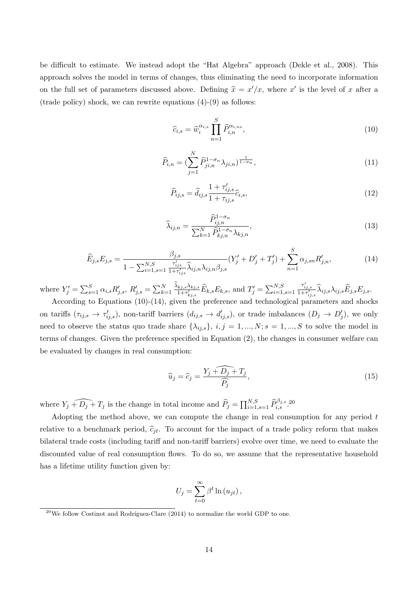be difficult to estimate. We instead adopt the "Hat Algebra" approach [\(Dekle et al., 2008\)](#page-25-10). This approach solves the model in terms of changes, thus eliminating the need to incorporate information on the full set of parameters discussed above. Defining  $\hat{x} = x'/x$ , where x' is the level of x after a (trade policy) shock, we can rewrite equations  $(4)-(9)$  $(4)-(9)$  $(4)-(9)$  as follows:

<span id="page-13-0"></span>
$$
\widehat{c}_{i,s} = \widehat{w}_i^{\alpha_{i,s}} \prod_{n=1}^S \widehat{P}_{i,n}^{\alpha_{i,ns}},\tag{10}
$$

$$
\widehat{P}_{i,n} = (\sum_{j=1}^{N} \widehat{P}_{j i,n}^{1-\sigma_n} \lambda_{j i,n})^{\frac{1}{1-\sigma_n}},
$$
\n(11)

$$
\widehat{P}_{ij,s} = \widehat{d}_{ij,s} \frac{1 + \tau'_{ij,s}}{1 + \tau_{ij,s}} \widehat{c}_{i,s},
$$
\n(12)

$$
\widehat{\lambda}_{ij,n} = \frac{\widehat{P}_{ij,n}^{1-\sigma_n}}{\sum_{k=1}^{N} \widehat{P}_{kj,n}^{1-\sigma_n} \lambda_{kj,n}},
$$
\n(13)

<span id="page-13-1"></span>
$$
\widehat{E}_{j,s}E_{j,s} = \frac{\beta_{j,s}}{1 - \sum_{i=1}^{N,S} \frac{\tau'_{ijs}}{1 + \tau'_{ijs}} \widehat{\lambda}_{ij,n} \lambda_{ij,n} \beta_{j,s}} (Y'_j + D'_j + T'_j) + \sum_{n=1}^{S} \alpha_{j,sn} R'_{j,n},
$$
(14)

where  $Y'_{j} = \sum_{s=1}^{S} \alpha_{i,s} R'_{j,s}, R'_{j,s} = \sum_{k=1}^{N} \frac{\lambda_{kj,s} \lambda_{kj,s}}{1 + \tau'_{kj,s}} \widehat{E}_{k,s} E_{k,s}$ , and  $T'_{j} = \sum_{i=1, s=1}^{N,S}$  $\frac{\tau_{ij,s}'}{1+\tau_{ij,s}'}\widehat\lambda_{ij,s}\lambda_{ij,s}\widehat E_{j,s}E_{j,s}.$ 

According to Equations [\(10\)](#page-13-0)-[\(14\)](#page-13-1), given the preference and technological parameters and shocks on tariffs  $(\tau_{ij,s} \to \tau'_{ij,s})$ , non-tariff barriers  $(d_{ij,s} \to d'_{ij,s})$ , or trade imbalances  $(D_j \to D'_j)$ , we only need to observe the status quo trade share  $\{\lambda_{ij,s}\}, i,j = 1,...,N; s = 1,...,S$  to solve the model in terms of changes. Given the preference specified in Equation [\(2\)](#page-11-2), the changes in consumer welfare can be evaluated by changes in real consumption:

$$
\widehat{u}_j = \widehat{c}_j = \frac{Y_j + \widehat{D_j} + T_j}{\widehat{P_j}},\tag{15}
$$

where  $Y_j + \widehat{D_j} + T_j$  is the change in total income and  $\widehat{P}_j = \prod_{i=1, s=1}^{N,S} \widehat{P}_{i,s}^{\beta_{j,s}}$ .<sup>[20](#page-13-2)</sup>

Adopting the method above, we can compute the change in real consumption for any period  $t$ relative to a benchmark period,  $\hat{c}_{it}$ . To account for the impact of a trade policy reform that makes bilateral trade costs (including tariff and non-tariff barriers) evolve over time, we need to evaluate the discounted value of real consumption flows. To do so, we assume that the representative household has a lifetime utility function given by:

$$
U_j = \sum_{t=0}^{\infty} \beta^t \ln(u_{jt}),
$$

<span id="page-13-2"></span> $^{20}$ We follow Costinot and Rodríguez-Clare [\(2014\)](#page-25-0) to normalize the world GDP to one.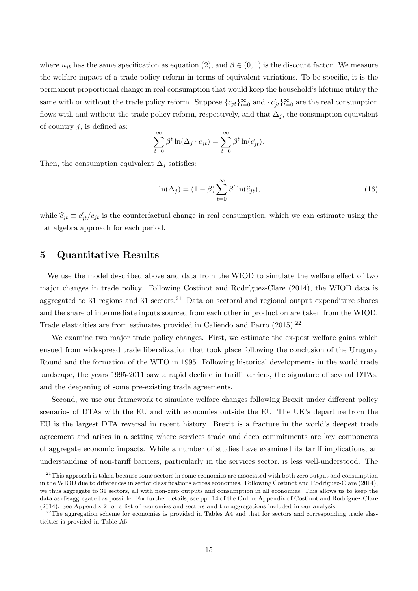where  $u_{jt}$  has the same specification as equation [\(2\)](#page-11-2), and  $\beta \in (0,1)$  is the discount factor. We measure the welfare impact of a trade policy reform in terms of equivalent variations. To be specific, it is the permanent proportional change in real consumption that would keep the household's lifetime utility the same with or without the trade policy reform. Suppose  ${c_{jt}}_{t=0}^{\infty}$  and  ${c'_{jt}}_{t=0}^{\infty}$  are the real consumption flows with and without the trade policy reform, respectively, and that  $\Delta_j$ , the consumption equivalent of country  $i$ , is defined as:

$$
\sum_{t=0}^{\infty} \beta^t \ln(\Delta_j \cdot c_{jt}) = \sum_{t=0}^{\infty} \beta^t \ln(c'_{jt}).
$$

Then, the consumption equivalent  $\Delta_i$  satisfies:

<span id="page-14-2"></span>
$$
\ln(\Delta_j) = (1 - \beta) \sum_{t=0}^{\infty} \beta^t \ln(\widehat{c}_{jt}),
$$
\n(16)

while  $\hat{c}_{jt} \equiv c'_{jt}/c_{jt}$  is the counterfactual change in real consumption, which we can estimate using the hat algebra approach for each period.

## 5 Quantitative Results

We use the model described above and data from the WIOD to simulate the welfare effect of two major changes in trade policy. Following Costinot and Rodríguez-Clare [\(2014\)](#page-25-0), the WIOD data is aggregated to 31 regions and 31 sectors.<sup>[21](#page-14-0)</sup> Data on sectoral and regional output expenditure shares and the share of intermediate inputs sourced from each other in production are taken from the WIOD. Trade elasticities are from estimates provided in [Caliendo and Parro](#page-24-2) [\(2015\)](#page-24-2).<sup>[22](#page-14-1)</sup>

We examine two major trade policy changes. First, we estimate the ex-post welfare gains which ensued from widespread trade liberalization that took place following the conclusion of the Uruguay Round and the formation of the WTO in 1995. Following historical developments in the world trade landscape, the years 1995-2011 saw a rapid decline in tariff barriers, the signature of several DTAs, and the deepening of some pre-existing trade agreements.

Second, we use our framework to simulate welfare changes following Brexit under different policy scenarios of DTAs with the EU and with economies outside the EU. The UK's departure from the EU is the largest DTA reversal in recent history. Brexit is a fracture in the world's deepest trade agreement and arises in a setting where services trade and deep commitments are key components of aggregate economic impacts. While a number of studies have examined its tariff implications, an understanding of non-tariff barriers, particularly in the services sector, is less well-understood. The

<span id="page-14-0"></span> $21$ This approach is taken because some sectors in some economies are associated with both zero output and consumption in the WIOD due to differences in sector classifications across economies. Following Costinot and Rodríguez-Clare [\(2014\)](#page-25-0), we thus aggregate to 31 sectors, all with non-zero outputs and consumption in all economies. This allows us to keep the data as disaggregated as possible. For further details, see pp. 14 of the Online Appendix of Costinot and Rodríguez-Clare [\(2014\)](#page-25-0). See [Appendix 2](#page-28-3) for a list of economies and sectors and the aggregations included in our analysis.

<span id="page-14-1"></span> $^{22}$ The aggregation scheme for economies is provided in Tables [A4](#page-29-0) and that for sectors and corresponding trade elasticities is provided in Table [A5.](#page-30-0)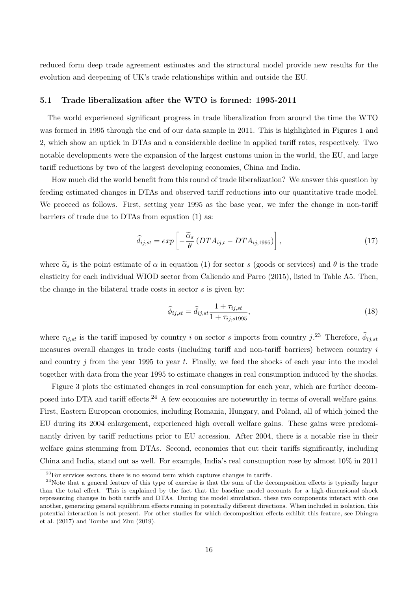reduced form deep trade agreement estimates and the structural model provide new results for the evolution and deepening of UK's trade relationships within and outside the EU.

#### 5.1 Trade liberalization after the WTO is formed: 1995-2011

The world experienced significant progress in trade liberalization from around the time the WTO was formed in 1995 through the end of our data sample in 2011. This is highlighted in Figures [1](#page-5-0) and [2,](#page-6-0) which show an uptick in DTAs and a considerable decline in applied tariff rates, respectively. Two notable developments were the expansion of the largest customs union in the world, the EU, and large tariff reductions by two of the largest developing economies, China and India.

How much did the world benefit from this round of trade liberalization? We answer this question by feeding estimated changes in DTAs and observed tariff reductions into our quantitative trade model. We proceed as follows. First, setting year 1995 as the base year, we infer the change in non-tariff barriers of trade due to DTAs from equation [\(1\)](#page-7-1) as:

$$
\widehat{d}_{ij,st} = exp\left[-\frac{\widetilde{\alpha}_s}{\theta} \left(DTA_{ij,t} - DTA_{ij,1995}\right)\right],\tag{17}
$$

where  $\tilde{\alpha}_s$  is the point estimate of  $\alpha$  in equation [\(1\)](#page-7-1) for sector s (goods or services) and  $\theta$  is the trade elasticity for each individual WIOD sector from [Caliendo and Parro](#page-24-2) [\(2015\)](#page-24-2), listed in Table [A5.](#page-30-0) Then, the change in the bilateral trade costs in sector s is given by:

$$
\widehat{\phi}_{ij,st} = \widehat{d}_{ij,st} \frac{1 + \tau_{ij,st}}{1 + \tau_{ij,s1995}},
$$
\n(18)

where  $\tau_{ij,st}$  is the tariff imposed by country i on sector s imports from country j.<sup>[23](#page-15-0)</sup> Therefore,  $\hat{\phi}_{ij,st}$ measures overall changes in trade costs (including tariff and non-tariff barriers) between country  $i$ and country  $j$  from the year 1995 to year  $t$ . Finally, we feed the shocks of each year into the model together with data from the year 1995 to estimate changes in real consumption induced by the shocks.

Figure [3](#page-16-0) plots the estimated changes in real consumption for each year, which are further decom-posed into DTA and tariff effects.<sup>[24](#page-15-1)</sup> A few economies are noteworthy in terms of overall welfare gains. First, Eastern European economies, including Romania, Hungary, and Poland, all of which joined the EU during its 2004 enlargement, experienced high overall welfare gains. These gains were predominantly driven by tariff reductions prior to EU accession. After 2004, there is a notable rise in their welfare gains stemming from DTAs. Second, economies that cut their tariffs significantly, including China and India, stand out as well. For example, India's real consumption rose by almost 10% in 2011

<span id="page-15-1"></span><span id="page-15-0"></span> $^{23}$ For services sectors, there is no second term which captures changes in tariffs.

 $^{24}$ Note that a general feature of this type of exercise is that the sum of the decomposition effects is typically larger than the total effect. This is explained by the fact that the baseline model accounts for a high-dimensional shock representing changes in both tariffs and DTAs. During the model simulation, these two components interact with one another, generating general equilibrium effects running in potentially different directions. When included in isolation, this potential interaction is not present. For other studies for which decomposition effects exhibit this feature, see [Dhingra](#page-25-5) [et al.](#page-25-5) [\(2017\)](#page-25-5) and [Tombe and Zhu](#page-27-2) [\(2019\)](#page-27-2).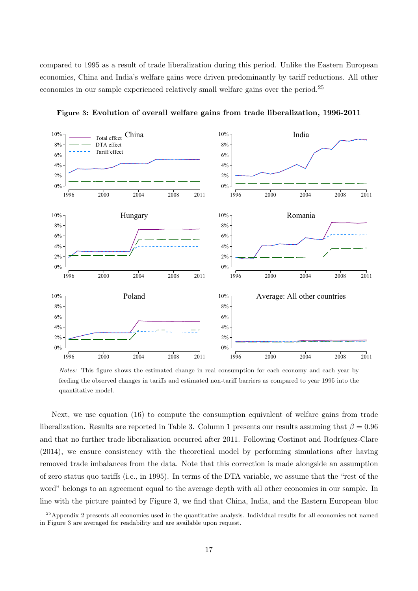compared to 1995 as a result of trade liberalization during this period. Unlike the Eastern European economies, China and India's welfare gains were driven predominantly by tariff reductions. All other economies in our sample experienced relatively small welfare gains over the period.[25](#page-16-1)

<span id="page-16-0"></span>

Figure 3: Evolution of overall welfare gains from trade liberalization, 1996-2011

Notes: This figure shows the estimated change in real consumption for each economy and each year by feeding the observed changes in tariffs and estimated non-tariff barriers as compared to year 1995 into the quantitative model.

Next, we use equation [\(16\)](#page-14-2) to compute the consumption equivalent of welfare gains from trade liberalization. Results are reported in Table [3.](#page-18-0) Column 1 presents our results assuming that  $\beta = 0.96$ and that no further trade liberalization occurred after 2011. Following Costinot and Rodríguez-Clare [\(2014\)](#page-25-0), we ensure consistency with the theoretical model by performing simulations after having removed trade imbalances from the data. Note that this correction is made alongside an assumption of zero status quo tariffs (i.e., in 1995). In terms of the DTA variable, we assume that the "rest of the word" belongs to an agreement equal to the average depth with all other economies in our sample. In line with the picture painted by Figure [3,](#page-16-0) we find that China, India, and the Eastern European bloc

<span id="page-16-1"></span><sup>&</sup>lt;sup>25</sup>[Appendix 2](#page-28-3) presents all economies used in the quantitative analysis. Individual results for all economies not named in Figure [3](#page-16-0) are averaged for readability and are available upon request.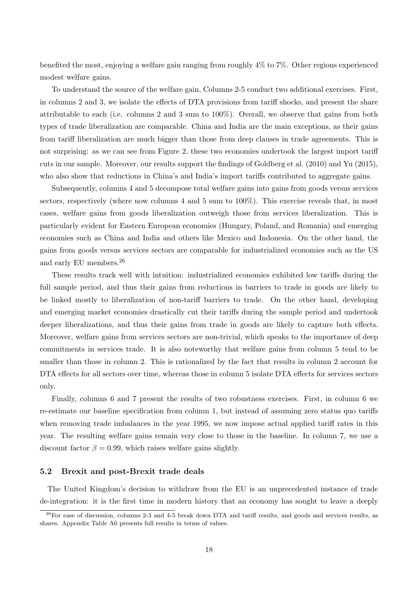benefited the most, enjoying a welfare gain ranging from roughly 4% to 7%. Other regions experienced modest welfare gains.

To understand the source of the welfare gain, Columns 2-5 conduct two additional exercises. First, in columns 2 and 3, we isolate the effects of DTA provisions from tariff shocks, and present the share attributable to each (i.e. columns 2 and 3 sum to 100%). Overall, we observe that gains from both types of trade liberalization are comparable. China and India are the main exceptions, as their gains from tariff liberalization are much bigger than those from deep clauses in trade agreements. This is not surprising: as we can see from Figure [2,](#page-6-0) these two economies undertook the largest import tariff cuts in our sample. Moreover, our results support the findings of [Goldberg et al.](#page-25-12) [\(2010\)](#page-25-12) and [Yu](#page-27-3) [\(2015\)](#page-27-3), who also show that reductions in China's and India's import tariffs contributed to aggregate gains.

Subsequently, columns 4 and 5 decompose total welfare gains into gains from goods versus services sectors, respectively (where now columns 4 and 5 sum to 100%). This exercise reveals that, in most cases, welfare gains from goods liberalization outweigh those from services liberalization. This is particularly evident for Eastern European economies (Hungary, Poland, and Romania) and emerging economies such as China and India and others like Mexico and Indonesia. On the other hand, the gains from goods versus services sectors are comparable for industrialized economies such as the US and early EU members.[26](#page-17-0)

These results track well with intuition: industrialized economies exhibited low tariffs during the full sample period, and thus their gains from reductions in barriers to trade in goods are likely to be linked mostly to liberalization of non-tariff barriers to trade. On the other hand, developing and emerging market economies drastically cut their tariffs during the sample period and undertook deeper liberalizations, and thus their gains from trade in goods are likely to capture both effects. Moreover, welfare gains from services sectors are non-trivial, which speaks to the importance of deep commitments in services trade. It is also noteworthy that welfare gains from column 5 tend to be smaller than those in column 2. This is rationalized by the fact that results in column 2 account for DTA effects for all sectors over time, whereas those in column 5 isolate DTA effects for services sectors only.

Finally, columns 6 and 7 present the results of two robustness exercises. First, in column 6 we re-estimate our baseline specification from column 1, but instead of assuming zero status quo tariffs when removing trade imbalances in the year 1995, we now impose actual applied tariff rates in this year. The resulting welfare gains remain very close to those in the baseline. In column 7, we use a discount factor  $\beta = 0.99$ , which raises welfare gains slightly.

### 5.2 Brexit and post-Brexit trade deals

The United Kingdom's decision to withdraw from the EU is an unprecedented instance of trade de-integration: it is the first time in modern history that an economy has sought to leave a deeply

<span id="page-17-0"></span> $^{26}$ For ease of discussion, columns 2-3 and 4-5 break down DTA and tariff results, and goods and services results, as shares. Appendix Table [A6](#page-32-0) presents full results in terms of values.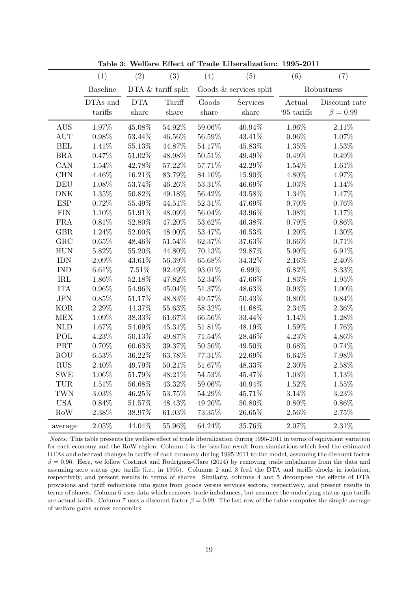<span id="page-18-0"></span>

|              | (1)             | (2)        | (3)                | (4)       | (5)                      | (6)         | (7)            |
|--------------|-----------------|------------|--------------------|-----------|--------------------------|-------------|----------------|
|              | <b>Baseline</b> |            | DTA & tariff split |           | Goods $&$ services split |             | Robustness     |
|              | DTAs and        | <b>DTA</b> | Tariff             | Goods     | Services                 | Actual      | Discount rate  |
|              | tariffs         | share      | $_{\rm share}$     | share     | share                    | '95 $\tanh$ | $\beta = 0.99$ |
| <b>AUS</b>   | $1.97\%$        | 45.08%     | $54.92\%$          | $59.06\%$ | $40.94\%$                | 1.96%       | $2.11\%$       |
| <b>AUT</b>   | 0.98%           | $53.44\%$  | $46.56\%$          | $56.59\%$ | 43.41%                   | $0.96\%$    | 1.07%          |
| <b>BEL</b>   | $1.41\%$        | $55.13\%$  | 44.87%             | 54.17%    | $45.83\%$                | $1.35\%$    | $1.53\%$       |
| BRA          | 0.47%           | $51.02\%$  | 48.98%             | $50.51\%$ | 49.49%                   | 0.49%       | 0.49%          |
| CAN          | $1.54\%$        | 42.78%     | $57.22\%$          | 57.71%    | 42.29%                   | 1.54%       | $1.61\%$       |
| CHN          | $4.46\%$        | $16.21\%$  | $83.79\%$          | 84.10%    | 15.90%                   | $4.80\%$    | 4.97%          |
| DEU          | $1.08\%$        | $53.74\%$  | 46.26%             | $53.31\%$ | 46.69%                   | 1.03%       | $1.14\%$       |
| ${\rm DNK}$  | $1.35\%$        | $50.82\%$  | $49.18\%$          | 56.42%    | 43.58%                   | $1.34\%$    | 1.47%          |
| <b>ESP</b>   | 0.72%           | $55.49\%$  | $44.51\%$          | $52.31\%$ | 47.69%                   | $0.70\%$    | $0.76\%$       |
| <b>FIN</b>   | 1.10%           | $51.91\%$  | 48.09%             | 56.04%    | 43.96%                   | 1.08%       | 1.17%          |
| ${\rm FRA}$  | 0.81%           | $52.80\%$  | 47.20%             | $53.62\%$ | 46.38%                   | 0.79%       | 0.86%          |
| GBR          | $1.24\%$        | $52.00\%$  | $48.00\%$          | $53.47\%$ | $46.53\%$                | $1.20\%$    | $1.30\%$       |
| GRC          | $0.65\%$        | $48.46\%$  | $51.54\%$          | 62.37%    | 37.63%                   | $0.66\%$    | 0.71%          |
| <b>HUN</b>   | $5.82\%$        | $55.20\%$  | 44.80%             | $70.13\%$ | $29.87\%$                | $5.90\%$    | $6.91\%$       |
| <b>IDN</b>   | $2.09\%$        | $43.61\%$  | $56.39\%$          | $65.68\%$ | $34.32\%$                | $2.16\%$    | $2.40\%$       |
| <b>IND</b>   | 6.61%           | $7.51\%$   | 92.49%             | $93.01\%$ | $6.99\%$                 | $6.82\%$    | $8.33\%$       |
| IRL          | 1.86%           | 52.18%     | 47.82%             | $52.34\%$ | 47.66%                   | 1.83%       | 1.95%          |
| <b>ITA</b>   | $0.96\%$        | $54.96\%$  | $45.04\%$          | $51.37\%$ | 48.63%                   | $0.93\%$    | $1.00\%$       |
| <b>JPN</b>   | $0.85\%$        | 51.17%     | 48.83%             | 49.57%    | $50.43\%$                | $0.80\%$    | 0.84%          |
| <b>KOR</b>   | $2.29\%$        | 44.37%     | 55.63%             | 58.32%    | 41.68%                   | $2.34\%$    | $2.36\%$       |
| MEX          | $1.09\%$        | $38.33\%$  | $61.67\%$          | $66.56\%$ | 33.44%                   | $1.14\%$    | 1.28%          |
| $\mbox{NLD}$ | $1.67\%$        | 54.69%     | 45.31%             | 51.81%    | 48.19%                   | 1.59%       | 1.76%          |
| POL          | 4.23%           | $50.13\%$  | 49.87%             | 71.54%    | 28.46%                   | $4.23\%$    | 4.86%          |
| PRT          | $0.70\%$        | 60.63%     | $39.37\%$          | $50.50\%$ | $49.50\%$                | $0.68\%$    | 0.74%          |
| <b>ROU</b>   | $6.53\%$        | 36.22%     | 63.78%             | 77.31%    | 22.69%                   | $6.64\%$    | 7.98%          |
| $\rm RUS$    | 2.40%           | 49.79%     | 50.21\%            | $51.67\%$ | 48.33%                   | $2.30\%$    | 2.58%          |
| <b>SWE</b>   | $1.06\%$        | $51.79\%$  | $48.21\%$          | $54.53\%$ | 45.47%                   | $1.03\%$    | 1.13%          |
| TUR          | 1.51%           | $56.68\%$  | $43.32\%$          | $59.06\%$ | 40.94%                   | 1.52%       | 1.55%          |
| <b>TWN</b>   | $3.03\%$        | $46.25\%$  | $53.75\%$          | $54.29\%$ | 45.71%                   | 3.14%       | 3.23%          |
| <b>USA</b>   | $0.84\%$        | 51.57%     | $48.43\%$          | 49.20%    | $50.80\%$                | $0.80\%$    | $0.86\%$       |
| Row          | 2.38%           | 38.97%     | $61.03\%$          | 73.35%    | $26.65\%$                | $2.56\%$    | 2.75%          |
| average      | 2.05%           | 44.04%     | 55.96%             | 64.24%    | 35.76%                   | 2.07%       | 2.31%          |

Table 3: Welfare Effect of Trade Liberalization: 1995-2011

Notes: This table presents the welfare effect of trade liberalization during 1995-2011 in terms of equivalent variation for each economy and the RoW region. Column 1 is the baseline result from simulations which feed the estimated DTAs and observed changes in tariffs of each economy during 1995-2011 to the model, assuming the discount factor  $\beta = 0.96$ . Here, we follow Costinot and Rodríguez-Clare [\(2014\)](#page-25-0) by removing trade imbalances from the data and assuming zero status quo tariffs (i.e., in 1995). Columns 2 and 3 feed the DTA and tariffs shocks in isolation, respectively, and present results in terms of shares. Similarly, columns 4 and 5 decompose the effects of DTA provisions and tariff reductions into gains from goods versus services sectors, respectively, and present results in terms of shares. Column 6 uses data which removes trade imbalances, but assumes the underlying status-quo tariffs are actual tariffs. Column 7 uses a discount factor  $\beta = 0.99$ . The last row of the table computes the simple average of welfare gains across economies.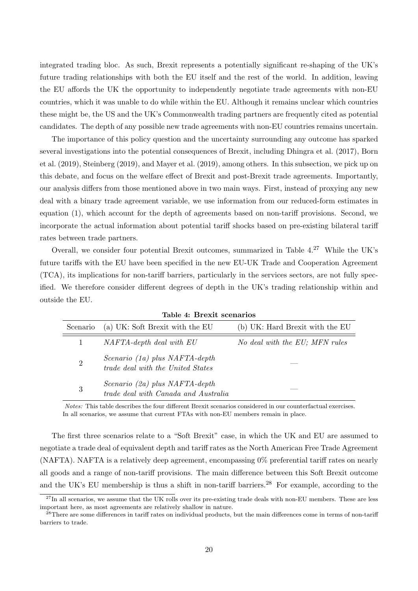integrated trading bloc. As such, Brexit represents a potentially significant re-shaping of the UK's future trading relationships with both the EU itself and the rest of the world. In addition, leaving the EU affords the UK the opportunity to independently negotiate trade agreements with non-EU countries, which it was unable to do while within the EU. Although it remains unclear which countries these might be, the US and the UK's Commonwealth trading partners are frequently cited as potential candidates. The depth of any possible new trade agreements with non-EU countries remains uncertain.

The importance of this policy question and the uncertainty surrounding any outcome has sparked several investigations into the potential consequences of Brexit, including [Dhingra et al.](#page-25-5) [\(2017\)](#page-25-5), [Born](#page-24-14) [et al.](#page-24-14) [\(2019\)](#page-24-14), [Steinberg](#page-26-2) [\(2019\)](#page-26-2), and [Mayer et al.](#page-26-3) [\(2019\)](#page-26-3), among others. In this subsection, we pick up on this debate, and focus on the welfare effect of Brexit and post-Brexit trade agreements. Importantly, our analysis differs from those mentioned above in two main ways. First, instead of proxying any new deal with a binary trade agreement variable, we use information from our reduced-form estimates in equation [\(1\)](#page-7-1), which account for the depth of agreements based on non-tariff provisions. Second, we incorporate the actual information about potential tariff shocks based on pre-existing bilateral tariff rates between trade partners.

Overall, we consider four potential Brexit outcomes, summarized in Table  $4.27$  $4.27$  While the UK's future tariffs with the EU have been specified in the new EU-UK Trade and Cooperation Agreement (TCA), its implications for non-tariff barriers, particularly in the services sectors, are not fully specified. We therefore consider different degrees of depth in the UK's trading relationship within and outside the EU.

<span id="page-19-0"></span>

|                | $\mathbf{u}$ . Divisio boomando                                                 |                                 |
|----------------|---------------------------------------------------------------------------------|---------------------------------|
| Scenario       | (a) UK: Soft Brexit with the EU                                                 | (b) UK: Hard Brexit with the EU |
| $\mathbf{1}$   | NAFTA-depth deal with EU                                                        | No deal with the EU; MFN rules  |
| $\overline{2}$ | Scenario (1a) plus NAFTA-depth<br>trade deal with the United States             |                                 |
| 3              | Scenario (2a) plus $NAFTA\text{-}depth$<br>trade deal with Canada and Australia |                                 |

Table 4: Brexit scenarios

Notes: This table describes the four different Brexit scenarios considered in our counterfactual exercises. In all scenarios, we assume that current FTAs with non-EU members remain in place.

The first three scenarios relate to a "Soft Brexit" case, in which the UK and EU are assumed to negotiate a trade deal of equivalent depth and tariff rates as the North American Free Trade Agreement (NAFTA). NAFTA is a relatively deep agreement, encompassing 0% preferential tariff rates on nearly all goods and a range of non-tariff provisions. The main difference between this Soft Brexit outcome and the UK's EU membership is thus a shift in non-tariff barriers.<sup>[28](#page-19-2)</sup> For example, according to the

<span id="page-19-1"></span> $27$ In all scenarios, we assume that the UK rolls over its pre-existing trade deals with non-EU members. These are less important here, as most agreements are relatively shallow in nature.

<span id="page-19-2"></span><sup>&</sup>lt;sup>28</sup>There are some differences in tariff rates on individual products, but the main differences come in terms of non-tariff barriers to trade.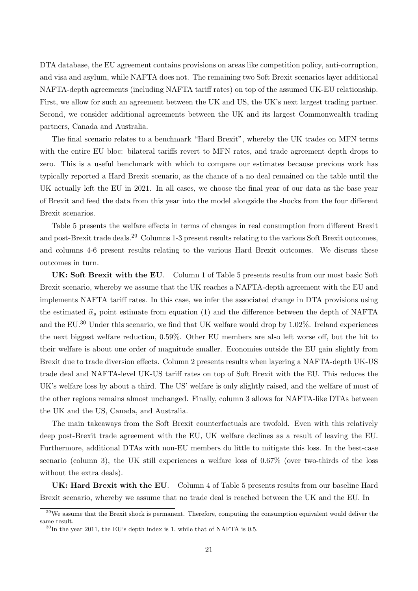DTA database, the EU agreement contains provisions on areas like competition policy, anti-corruption, and visa and asylum, while NAFTA does not. The remaining two Soft Brexit scenarios layer additional NAFTA-depth agreements (including NAFTA tariff rates) on top of the assumed UK-EU relationship. First, we allow for such an agreement between the UK and US, the UK's next largest trading partner. Second, we consider additional agreements between the UK and its largest Commonwealth trading partners, Canada and Australia.

The final scenario relates to a benchmark "Hard Brexit", whereby the UK trades on MFN terms with the entire EU bloc: bilateral tariffs revert to MFN rates, and trade agreement depth drops to zero. This is a useful benchmark with which to compare our estimates because previous work has typically reported a Hard Brexit scenario, as the chance of a no deal remained on the table until the UK actually left the EU in 2021. In all cases, we choose the final year of our data as the base year of Brexit and feed the data from this year into the model alongside the shocks from the four different Brexit scenarios.

Table [5](#page-21-0) presents the welfare effects in terms of changes in real consumption from different Brexit and post-Brexit trade deals.<sup>[29](#page-20-0)</sup> Columns 1-3 present results relating to the various Soft Brexit outcomes, and columns 4-6 present results relating to the various Hard Brexit outcomes. We discuss these outcomes in turn.

UK: Soft Brexit with the EU. Column 1 of Table [5](#page-21-0) presents results from our most basic Soft Brexit scenario, whereby we assume that the UK reaches a NAFTA-depth agreement with the EU and implements NAFTA tariff rates. In this case, we infer the associated change in DTA provisions using the estimated  $\hat{\alpha}_s$  point estimate from equation [\(1\)](#page-7-1) and the difference between the depth of NAFTA and the  $EU^{30}$  $EU^{30}$  $EU^{30}$  Under this scenario, we find that UK welfare would drop by 1.02%. Ireland experiences the next biggest welfare reduction, 0.59%. Other EU members are also left worse off, but the hit to their welfare is about one order of magnitude smaller. Economies outside the EU gain slightly from Brexit due to trade diversion effects. Column 2 presents results when layering a NAFTA-depth UK-US trade deal and NAFTA-level UK-US tariff rates on top of Soft Brexit with the EU. This reduces the UK's welfare loss by about a third. The US' welfare is only slightly raised, and the welfare of most of the other regions remains almost unchanged. Finally, column 3 allows for NAFTA-like DTAs between the UK and the US, Canada, and Australia.

The main takeaways from the Soft Brexit counterfactuals are twofold. Even with this relatively deep post-Brexit trade agreement with the EU, UK welfare declines as a result of leaving the EU. Furthermore, additional DTAs with non-EU members do little to mitigate this loss. In the best-case scenario (column 3), the UK still experiences a welfare loss of 0.67% (over two-thirds of the loss without the extra deals).

UK: Hard Brexit with the EU. Column 4 of Table [5](#page-21-0) presents results from our baseline Hard Brexit scenario, whereby we assume that no trade deal is reached between the UK and the EU. In

<span id="page-20-0"></span> $^{29}$ We assume that the Brexit shock is permanent. Therefore, computing the consumption equivalent would deliver the same result.

<span id="page-20-1"></span> $30$ In the year 2011, the EU's depth index is 1, while that of NAFTA is 0.5.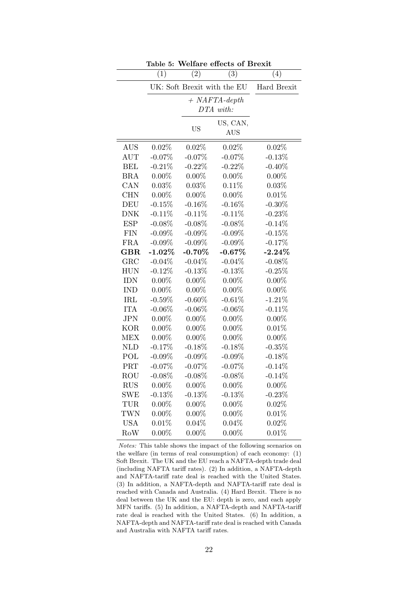<span id="page-21-0"></span>

|            | ranie o:  |                             | wenare enects or drexit |             |
|------------|-----------|-----------------------------|-------------------------|-------------|
|            | (1)       | (2)                         | $\overline{(3)}$        | (4)         |
|            |           | UK: Soft Brexit with the EU |                         | Hard Brexit |
|            |           | $+$ NAFTA-depth             |                         |             |
|            |           |                             | DTA with:               |             |
|            |           |                             | US, CAN,                |             |
|            |           | <b>US</b>                   | <b>AUS</b>              |             |
| <b>AUS</b> | 0.02%     | 0.02%                       | 0.02%                   | $0.02\%$    |
| AUT        | $-0.07%$  | $-0.07%$                    | $-0.07%$                | $-0.13%$    |
| <b>BEL</b> | $-0.21%$  | $-0.22%$                    | $-0.22%$                | $-0.40\%$   |
| <b>BRA</b> | $0.00\%$  | $0.00\%$                    | $0.00\%$                | $0.00\%$    |
| CAN        | 0.03%     | 0.03%                       | 0.11%                   | 0.03%       |
| <b>CHN</b> | $0.00\%$  | $0.00\%$                    | $0.00\%$                | 0.01%       |
| DEU        | $-0.15%$  | $-0.16%$                    | $-0.16%$                | $-0.30\%$   |
| <b>DNK</b> | $-0.11%$  | $-0.11%$                    | $-0.11%$                | $-0.23%$    |
| <b>ESP</b> | $-0.08%$  | $-0.08%$                    | $-0.08\%$               | $-0.14%$    |
| <b>FIN</b> | $-0.09%$  | $-0.09%$                    | $-0.09%$                | $-0.15%$    |
| <b>FRA</b> | $-0.09%$  | $-0.09%$                    | $-0.09\%$               | $-0.17%$    |
| $\rm GBR$  | $-1.02\%$ | $-0.70%$                    | $-0.67%$                | $-2.24%$    |
| GRC        | $-0.04%$  | $-0.04%$                    | $-0.04%$                | $-0.08%$    |
| <b>HUN</b> | $-0.12%$  | $-0.13%$                    | $-0.13%$                | $-0.25%$    |
| <b>IDN</b> | $0.00\%$  | $0.00\%$                    | $0.00\%$                | $0.00\%$    |
| <b>IND</b> | $0.00\%$  | $0.00\%$                    | $0.00\%$                | $0.00\%$    |
| IRL        | $-0.59%$  | $-0.60\%$                   | $-0.61%$                | $-1.21%$    |
| <b>ITA</b> | $-0.06%$  | $-0.06%$                    | $-0.06%$                | $-0.11%$    |
| <b>JPN</b> | $0.00\%$  | $0.00\%$                    | $0.00\%$                | $0.00\%$    |
| <b>KOR</b> | $0.00\%$  | $0.00\%$                    | $0.00\%$                | $0.01\%$    |
| <b>MEX</b> | $0.00\%$  | $0.00\%$                    | $0.00\%$                | $0.00\%$    |
| <b>NLD</b> | $-0.17%$  | $-0.18%$                    | $-0.18%$                | $-0.35%$    |
| POL        | $-0.09%$  | $-0.09%$                    | $-0.09%$                | $-0.18%$    |
| PRT        | $-0.07%$  | $-0.07%$                    | $-0.07%$                | $-0.14%$    |
| <b>ROU</b> | $-0.08%$  | $-0.08\%$                   | $-0.08%$                | $-0.14%$    |
| <b>RUS</b> | $0.00\%$  | $0.00\%$                    | $0.00\%$                | $0.00\%$    |
| SWE        | $-0.13%$  | $-0.13%$                    | $-0.13%$                | $-0.23%$    |
| TUR        | $0.00\%$  | $0.00\%$                    | $0.00\%$                | 0.02%       |
| <b>TWN</b> | $0.00\%$  | $0.00\%$                    | $0.00\%$                | 0.01%       |
| <b>USA</b> | 0.01%     | 0.04%                       | 0.04%                   | 0.02%       |
| RoW        | $0.00\%$  | $0.00\%$                    | $0.00\%$                | 0.01%       |

Table 5: Welfare effects of Brexit

Notes: This table shows the impact of the following scenarios on the welfare (in terms of real consumption) of each economy: (1) Soft Brexit. The UK and the EU reach a NAFTA-depth trade deal (including NAFTA tariff rates). (2) In addition, a NAFTA-depth and NAFTA-tariff rate deal is reached with the United States. (3) In addition, a NAFTA-depth and NAFTA-tariff rate deal is reached with Canada and Australia. (4) Hard Brexit. There is no deal between the UK and the EU: depth is zero, and each apply MFN tariffs. (5) In addition, a NAFTA-depth and NAFTA-tariff rate deal is reached with the United States. (6) In addition, a NAFTA-depth and NAFTA-tariff rate deal is reached with Canada and Australia with NAFTA tariff rates.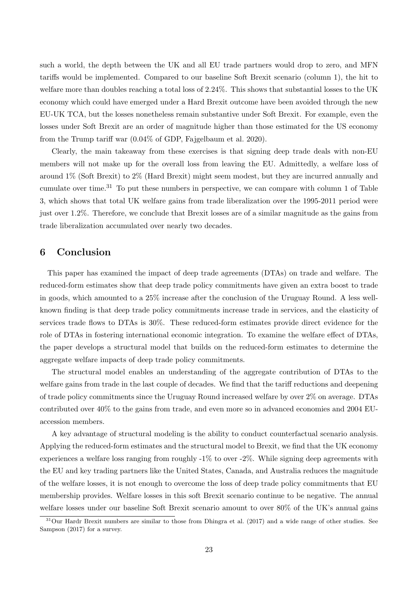such a world, the depth between the UK and all EU trade partners would drop to zero, and MFN tariffs would be implemented. Compared to our baseline Soft Brexit scenario (column 1), the hit to welfare more than doubles reaching a total loss of 2.24%. This shows that substantial losses to the UK economy which could have emerged under a Hard Brexit outcome have been avoided through the new EU-UK TCA, but the losses nonetheless remain substantive under Soft Brexit. For example, even the losses under Soft Brexit are an order of magnitude higher than those estimated for the US economy from the Trump tariff war (0.04% of GDP, [Fajgelbaum et al. 2020\)](#page-25-13).

Clearly, the main takeaway from these exercises is that signing deep trade deals with non-EU members will not make up for the overall loss from leaving the EU. Admittedly, a welfare loss of around 1% (Soft Brexit) to 2% (Hard Brexit) might seem modest, but they are incurred annually and cumulate over time.<sup>[31](#page-22-0)</sup> To put these numbers in perspective, we can compare with column 1 of Table [3,](#page-18-0) which shows that total UK welfare gains from trade liberalization over the 1995-2011 period were just over 1.2%. Therefore, we conclude that Brexit losses are of a similar magnitude as the gains from trade liberalization accumulated over nearly two decades.

## 6 Conclusion

This paper has examined the impact of deep trade agreements (DTAs) on trade and welfare. The reduced-form estimates show that deep trade policy commitments have given an extra boost to trade in goods, which amounted to a 25% increase after the conclusion of the Uruguay Round. A less wellknown finding is that deep trade policy commitments increase trade in services, and the elasticity of services trade flows to DTAs is 30%. These reduced-form estimates provide direct evidence for the role of DTAs in fostering international economic integration. To examine the welfare effect of DTAs, the paper develops a structural model that builds on the reduced-form estimates to determine the aggregate welfare impacts of deep trade policy commitments.

The structural model enables an understanding of the aggregate contribution of DTAs to the welfare gains from trade in the last couple of decades. We find that the tariff reductions and deepening of trade policy commitments since the Uruguay Round increased welfare by over 2% on average. DTAs contributed over 40% to the gains from trade, and even more so in advanced economies and 2004 EUaccession members.

A key advantage of structural modeling is the ability to conduct counterfactual scenario analysis. Applying the reduced-form estimates and the structural model to Brexit, we find that the UK economy experiences a welfare loss ranging from roughly -1% to over -2%. While signing deep agreements with the EU and key trading partners like the United States, Canada, and Australia reduces the magnitude of the welfare losses, it is not enough to overcome the loss of deep trade policy commitments that EU membership provides. Welfare losses in this soft Brexit scenario continue to be negative. The annual welfare losses under our baseline Soft Brexit scenario amount to over 80% of the UK's annual gains

<span id="page-22-0"></span> $31$ Our Hardr Brexit numbers are similar to those from [Dhingra et al.](#page-25-5) [\(2017\)](#page-25-5) and a wide range of other studies. See [Sampson](#page-26-15) [\(2017\)](#page-26-15) for a survey.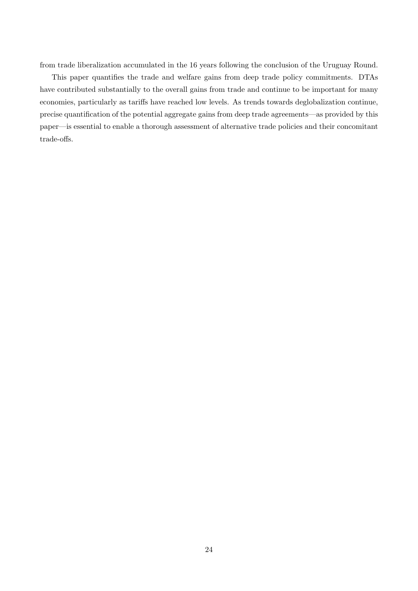from trade liberalization accumulated in the 16 years following the conclusion of the Uruguay Round.

This paper quantifies the trade and welfare gains from deep trade policy commitments. DTAs have contributed substantially to the overall gains from trade and continue to be important for many economies, particularly as tariffs have reached low levels. As trends towards deglobalization continue, precise quantification of the potential aggregate gains from deep trade agreements—as provided by this paper—is essential to enable a thorough assessment of alternative trade policies and their concomitant trade-offs.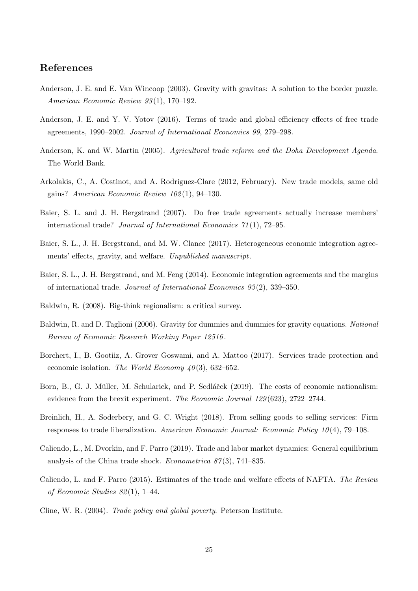## References

- <span id="page-24-9"></span>Anderson, J. E. and E. Van Wincoop (2003). Gravity with gravitas: A solution to the border puzzle. American Economic Review 93 (1), 170–192.
- <span id="page-24-12"></span>Anderson, J. E. and Y. V. Yotov (2016). Terms of trade and global efficiency effects of free trade agreements, 1990–2002. Journal of International Economics 99, 279–298.
- <span id="page-24-0"></span>Anderson, K. and W. Martin (2005). Agricultural trade reform and the Doha Development Agenda. The World Bank.
- <span id="page-24-11"></span>Arkolakis, C., A. Costinot, and A. Rodriguez-Clare (2012, February). New trade models, same old gains? American Economic Review 102 (1), 94–130.
- <span id="page-24-3"></span>Baier, S. L. and J. H. Bergstrand (2007). Do free trade agreements actually increase members' international trade? Journal of International Economics 71 (1), 72–95.
- <span id="page-24-4"></span>Baier, S. L., J. H. Bergstrand, and M. W. Clance (2017). Heterogeneous economic integration agreements' effects, gravity, and welfare. Unpublished manuscript.
- <span id="page-24-5"></span>Baier, S. L., J. H. Bergstrand, and M. Feng (2014). Economic integration agreements and the margins of international trade. Journal of International Economics 93 (2), 339–350.
- <span id="page-24-8"></span>Baldwin, R. (2008). Big-think regionalism: a critical survey.
- <span id="page-24-10"></span>Baldwin, R. and D. Taglioni (2006). Gravity for dummies and dummies for gravity equations. National Bureau of Economic Research Working Paper 12516 .
- <span id="page-24-7"></span>Borchert, I., B. Gootiiz, A. Grover Goswami, and A. Mattoo (2017). Services trade protection and economic isolation. The World Economy  $40(3)$ , 632–652.
- <span id="page-24-14"></span>Born, B., G. J. Müller, M. Schularick, and P. Sedláček (2019). The costs of economic nationalism: evidence from the brexit experiment. The Economic Journal 129(623), 2722–2744.
- <span id="page-24-6"></span>Breinlich, H., A. Soderbery, and G. C. Wright (2018). From selling goods to selling services: Firm responses to trade liberalization. American Economic Journal: Economic Policy  $10(4)$ , 79–108.
- <span id="page-24-13"></span>Caliendo, L., M. Dvorkin, and F. Parro (2019). Trade and labor market dynamics: General equilibrium analysis of the China trade shock. *Econometrica*  $87(3)$ , 741–835.
- <span id="page-24-2"></span>Caliendo, L. and F. Parro (2015). Estimates of the trade and welfare effects of NAFTA. The Review of Economic Studies 82 (1), 1–44.
- <span id="page-24-1"></span>Cline, W. R. (2004). Trade policy and global poverty. Peterson Institute.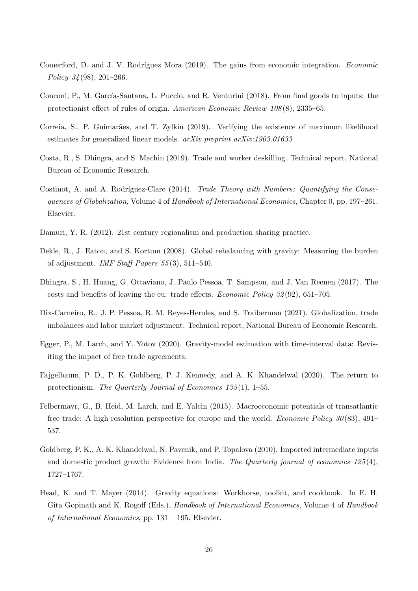- <span id="page-25-2"></span>Comerford, D. and J. V. Rodríguez Mora (2019). The gains from economic integration. Economic Policy 34 (98), 201–266.
- <span id="page-25-1"></span>Conconi, P., M. García-Santana, L. Puccio, and R. Venturini (2018). From final goods to inputs: the protectionist effect of rules of origin. American Economic Review 108 (8), 2335–65.
- <span id="page-25-9"></span>Correia, S., P. Guimarães, and T. Zylkin (2019). Verifying the existence of maximum likelihood estimates for generalized linear models.  $arXiv$  preprint  $arXiv:1903.01633$ .
- <span id="page-25-4"></span>Costa, R., S. Dhingra, and S. Machin (2019). Trade and worker deskilling. Technical report, National Bureau of Economic Research.
- <span id="page-25-0"></span>Costinot, A. and A. Rodríguez-Clare  $(2014)$ . Trade Theory with Numbers: Quantifying the Consequences of Globalization, Volume 4 of Handbook of International Economics, Chapter 0, pp. 197–261. Elsevier.
- <span id="page-25-6"></span>Damuri, Y. R. (2012). 21st century regionalism and production sharing practice.
- <span id="page-25-10"></span>Dekle, R., J. Eaton, and S. Kortum (2008). Global rebalancing with gravity: Measuring the burden of adjustment. *IMF Staff Papers*  $55(3)$ , 511–540.
- <span id="page-25-5"></span>Dhingra, S., H. Huang, G. Ottaviano, J. Paulo Pessoa, T. Sampson, and J. Van Reenen (2017). The costs and benefits of leaving the eu: trade effects. Economic Policy 32 (92), 651–705.
- <span id="page-25-11"></span>Dix-Carneiro, R., J. P. Pessoa, R. M. Reyes-Heroles, and S. Traiberman (2021). Globalization, trade imbalances and labor market adjustment. Technical report, National Bureau of Economic Research.
- <span id="page-25-8"></span>Egger, P., M. Larch, and Y. Yotov (2020). Gravity-model estimation with time-interval data: Revisiting the impact of free trade agreements.
- <span id="page-25-13"></span>Fajgelbaum, P. D., P. K. Goldberg, P. J. Kennedy, and A. K. Khandelwal (2020). The return to protectionism. The Quarterly Journal of Economics 135(1), 1–55.
- <span id="page-25-3"></span>Felbermayr, G., B. Heid, M. Larch, and E. Yalcin (2015). Macroeconomic potentials of transatlantic free trade: A high resolution perspective for europe and the world. *Economic Policy 30* (83), 491– 537.
- <span id="page-25-12"></span>Goldberg, P. K., A. K. Khandelwal, N. Pavcnik, and P. Topalova (2010). Imported intermediate inputs and domestic product growth: Evidence from India. The Quarterly journal of economics  $125(4)$ , 1727–1767.
- <span id="page-25-7"></span>Head, K. and T. Mayer (2014). Gravity equations: Workhorse, toolkit, and cookbook. In E. H. Gita Gopinath and K. Rogoff (Eds.), Handbook of International Economics, Volume 4 of Handbook of International Economics, pp. 131 – 195. Elsevier.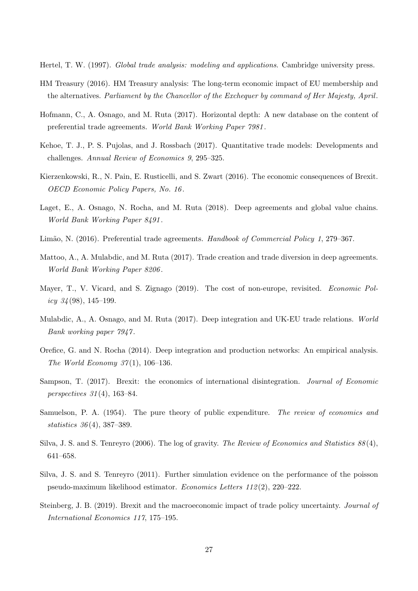<span id="page-26-0"></span>Hertel, T. W. (1997). Global trade analysis: modeling and applications. Cambridge university press.

- <span id="page-26-9"></span>HM Treasury (2016). HM Treasury analysis: The long-term economic impact of EU membership and the alternatives. Parliament by the Chancellor of the Exchequer by command of Her Majesty, April.
- <span id="page-26-5"></span>Hofmann, C., A. Osnago, and M. Ruta (2017). Horizontal depth: A new database on the content of preferential trade agreements. World Bank Working Paper 7981 .
- <span id="page-26-1"></span>Kehoe, T. J., P. S. Pujolas, and J. Rossbach (2017). Quantitative trade models: Developments and challenges. Annual Review of Economics 9, 295–325.
- <span id="page-26-10"></span>Kierzenkowski, R., N. Pain, E. Rusticelli, and S. Zwart (2016). The economic consequences of Brexit. OECD Economic Policy Papers, No. 16 .
- <span id="page-26-11"></span>Laget, E., A. Osnago, N. Rocha, and M. Ruta (2018). Deep agreements and global value chains. World Bank Working Paper 8491 .
- <span id="page-26-4"></span>Limão, N. (2016). Preferential trade agreements. Handbook of Commercial Policy 1, 279–367.
- <span id="page-26-6"></span>Mattoo, A., A. Mulabdic, and M. Ruta (2017). Trade creation and trade diversion in deep agreements. World Bank Working Paper 8206 .
- <span id="page-26-3"></span>Mayer, T., V. Vicard, and S. Zignago (2019). The cost of non-europe, revisited. Economic Policy  $34(98)$ , 145–199.
- <span id="page-26-7"></span>Mulabdic, A., A. Osnago, and M. Ruta (2017). Deep integration and UK-EU trade relations. World Bank working paper 7947 .
- <span id="page-26-8"></span>Orefice, G. and N. Rocha (2014). Deep integration and production networks: An empirical analysis. The World Economy  $37(1)$ , 106-136.
- <span id="page-26-15"></span>Sampson, T. (2017). Brexit: the economics of international disintegration. *Journal of Economic* perspectives 31 (4), 163–84.
- <span id="page-26-14"></span>Samuelson, P. A. (1954). The pure theory of public expenditure. The review of economics and statistics 36 (4), 387–389.
- <span id="page-26-12"></span>Silva, J. S. and S. Tenreyro (2006). The log of gravity. The Review of Economics and Statistics 88 (4), 641–658.
- <span id="page-26-13"></span>Silva, J. S. and S. Tenreyro (2011). Further simulation evidence on the performance of the poisson pseudo-maximum likelihood estimator. Economics Letters 112 (2), 220–222.
- <span id="page-26-2"></span>Steinberg, J. B. (2019). Brexit and the macroeconomic impact of trade policy uncertainty. Journal of International Economics 117, 175–195.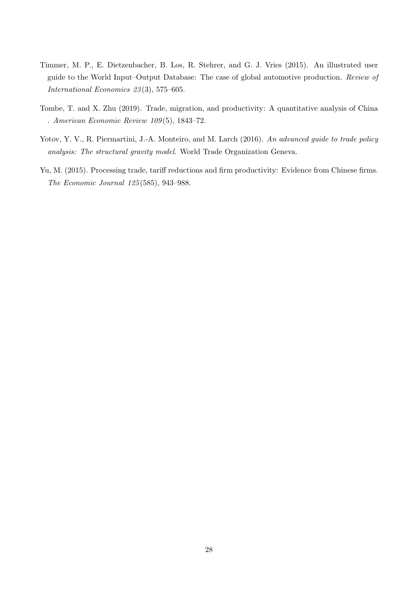- <span id="page-27-0"></span>Timmer, M. P., E. Dietzenbacher, B. Los, R. Stehrer, and G. J. Vries (2015). An illustrated user guide to the World Input–Output Database: The case of global automotive production. Review of International Economics 23 (3), 575–605.
- <span id="page-27-2"></span>Tombe, T. and X. Zhu (2019). Trade, migration, and productivity: A quantitative analysis of China . American Economic Review 109 (5), 1843–72.
- <span id="page-27-1"></span>Yotov, Y. V., R. Piermartini, J.-A. Monteiro, and M. Larch (2016). An advanced guide to trade policy analysis: The structural gravity model. World Trade Organization Geneva.
- <span id="page-27-3"></span>Yu, M. (2015). Processing trade, tariff reductions and firm productivity: Evidence from Chinese firms. The Economic Journal 125 (585), 943–988.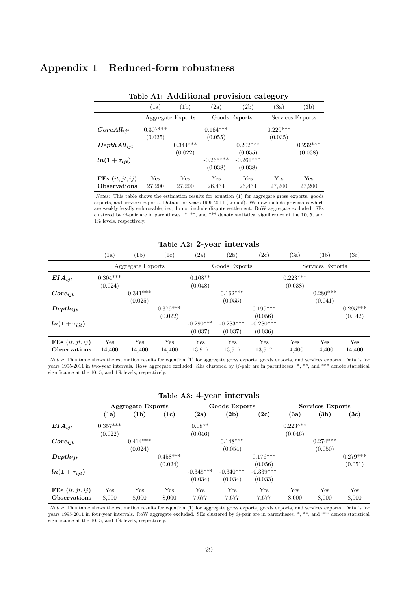# Appendix 1 Reduced-form robustness

<span id="page-28-0"></span>

|                     |            |                   |               |             | $\mathbf{\cdot}$<br>ີູ |            |
|---------------------|------------|-------------------|---------------|-------------|------------------------|------------|
|                     | (1a)       | (1b)              | (2a)          | (2b)        | (3a)                   | (3b)       |
|                     |            | Aggregate Exports | Goods Exports |             | Services Exports       |            |
| $CoreAll_{ijt}$     | $0.307***$ |                   | $0.164***$    |             | $0.220***$             |            |
|                     | (0.025)    |                   | (0.055)       |             | (0.035)                |            |
| $DepthAll_{iit}$    |            | $0.344***$        |               | $0.202***$  |                        | $0.232***$ |
|                     |            | (0.022)           |               | (0.055)     |                        | (0.038)    |
| $ln(1+\tau_{ijt})$  |            |                   | $-0.266***$   | $-0.261***$ |                        |            |
|                     |            |                   | (0.038)       | (0.038)     |                        |            |
| FEs $(it, jt, ij)$  | Yes        | Yes               | Yes           | Yes         | Yes                    | Yes        |
| <b>Observations</b> | 27,200     | 27,200            | 26,434        | 26,434      | 27,200                 | 27,200     |

### Table A1: Additional provision category

Notes: This table shows the estimation results for equation [\(1\)](#page-7-1) for aggregate gross exports, goods exports, and services exports. Data is for years 1995-2011 (annual). We now include provisions which are weakly legally enforceable, i.e., do not include dispute settlement. RoW aggregate excluded. SEs clustered by  $ij$ -pair are in parentheses. \*, \*\*, and \*\*\* denote statistical significance at the 10, 5, and 1% levels, respectively.

## Table A2: 2-year intervals

<span id="page-28-1"></span>

|                     | (1a)       | (1b)              | $\rm (1c)$ | (2a)        | (2b)          | (2c)        | (3a)       | (3b)             | $^{(3c)}$  |  |
|---------------------|------------|-------------------|------------|-------------|---------------|-------------|------------|------------------|------------|--|
|                     |            | Aggregate Exports |            |             | Goods Exports |             |            | Services Exports |            |  |
| $EIA_{ijt}$         | $0.304***$ |                   |            | $0.108**$   |               |             | $0.223***$ |                  |            |  |
|                     | (0.024)    |                   |            | (0.048)     |               |             | (0.038)    |                  |            |  |
| $Core_{ijt}$        |            | $0.341***$        |            |             | $0.162***$    |             |            | $0.280***$       |            |  |
|                     |            | (0.025)           |            |             | (0.055)       |             |            | (0.041)          |            |  |
| $Depth_{ijt}$       |            |                   | $0.379***$ |             |               | $0.199***$  |            |                  | $0.295***$ |  |
|                     |            |                   | (0.022)    |             |               | (0.056)     |            |                  | (0.042)    |  |
| $ln(1+\tau_{ijt})$  |            |                   |            | $-0.290***$ | $-0.283***$   | $-0.280***$ |            |                  |            |  |
|                     |            |                   |            | (0.037)     | (0.037)       | (0.036)     |            |                  |            |  |
| FEs $(it, jt, ij)$  | Yes        | Yes               | Yes        | Yes         | Yes           | Yes         | Yes        | Yes              | Yes        |  |
| <b>Observations</b> | 14,400     | 14,400            | 14,400     | 13,917      | 13,917        | 13.917      | 14,400     | 14,400           | 14,400     |  |

Notes: This table shows the estimation results for equation [\(1\)](#page-7-1) for aggregate gross exports, goods exports, and services exports. Data is for years 1995-2011 in two-year intervals. RoW aggregate excluded. SEs clustered by  $ij$ -pair are in parentheses. \*, \*\*, and \*\*\* denote statistical significance at the 10, 5, and 1% levels, respectively.

#### Table A3: 4-year intervals

<span id="page-28-2"></span>

|                     |            | <b>Aggregate Exports</b> |            |             | Goods Exports |             |            | Services Exports |            |
|---------------------|------------|--------------------------|------------|-------------|---------------|-------------|------------|------------------|------------|
|                     | (1a)       | (1b)                     | (1c)       | (2a)        | (2b)          | (2c)        | (3a)       | (3b)             | (3c)       |
| $EIA_{ijt}$         | $0.357***$ |                          |            | $0.087*$    |               |             | $0.223***$ |                  |            |
|                     | (0.022)    |                          |            | (0.046)     |               |             | (0.046)    |                  |            |
| $Core_{ijt}$        |            | $0.414***$               |            |             | $0.148***$    |             |            | $0.274***$       |            |
|                     |            | (0.024)                  |            |             | (0.054)       |             |            | (0.050)          |            |
| $Depth_{ijt}$       |            |                          | $0.458***$ |             |               | $0.176***$  |            |                  | $0.279***$ |
|                     |            |                          | (0.024)    |             |               | (0.056)     |            |                  | (0.051)    |
| $ln(1+\tau_{ijt})$  |            |                          |            | $-0.348***$ | $-0.340***$   | $-0.339***$ |            |                  |            |
|                     |            |                          |            | (0.034)     | (0.034)       | (0.033)     |            |                  |            |
| FEs $(it, jt, ij)$  | Yes        | Yes                      | Yes        | Yes         | Yes           | Yes         | Yes        | Yes              | Yes        |
| <b>Observations</b> | 8,000      | 8,000                    | 8,000      | 7,677       | 7,677         | 7.677       | 8,000      | 8,000            | 8,000      |

<span id="page-28-3"></span>Notes: This table shows the estimation results for equation [\(1\)](#page-7-1) for aggregate gross exports, goods exports, and services exports. Data is for years 1995-2011 in four-year intervals. RoW aggregate excluded. SEs clustered by ij-pair are in parentheses. \*, \*\*, and \*\*\* denote statistical significance at the 10, 5, and 1% levels, respectively.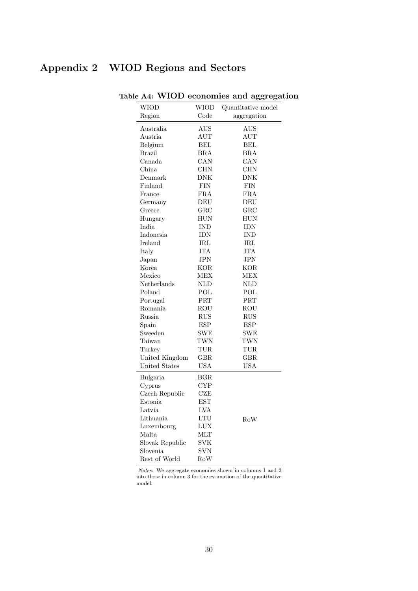# Appendix 2 WIOD Regions and Sectors

<span id="page-29-0"></span>

| <b>WIOD</b>     | <b>WIOD</b>                 | $\frac{1}{2}$<br>Quantitative model |
|-----------------|-----------------------------|-------------------------------------|
| Region          | Code                        | aggregation                         |
|                 |                             |                                     |
| Australia       | AUS                         | $_{\mathrm{AUS}}$                   |
| Austria         | <b>AUT</b>                  | <b>AUT</b>                          |
| Belgium         | BEL                         | BEL                                 |
| <b>Brazil</b>   | BRA                         | BRA                                 |
| Canada          | CAN                         | $_{\rm CAN}$                        |
| China           | CHN                         | CHN                                 |
| Denmark         | DNK                         | DNK                                 |
| Finland         | FIN                         | FIN                                 |
| France          | FRA                         | FRA                                 |
| Germany         | DEU                         | DEU                                 |
| Greece          | $_{\rm GRC}$                | $_{\rm GRC}$                        |
| Hungary         | HUN                         | HUN                                 |
| India           | <b>IND</b>                  | IDN                                 |
| Indonesia       | IDN                         | <b>IND</b>                          |
| Ireland         | $_{\rm IRL}$                | IRL                                 |
| Italy           | <b>ITA</b>                  | <b>ITA</b>                          |
| Japan           | $_{\rm JPN}$                | $_{\rm JPN}$                        |
| Korea           | KOR                         | KOR                                 |
| Mexico          | MEX                         | MEX                                 |
| Netherlands     | NLD                         | NLD                                 |
| Poland          | POL                         | POL                                 |
| Portugal        | PRT                         | $\rm{PRT}$                          |
| Romania         | ROU                         | ROU                                 |
| Russia          | RUS                         | RUS                                 |
| Spain           | <b>ESP</b>                  | <b>ESP</b>                          |
| Sweeden         | <b>SWE</b>                  | $_{\rm SWE}$                        |
| Taiwan          | TWN                         | TWN                                 |
| Turkey          | TUR                         | TUR                                 |
| United Kingdom  | $_{\rm GBR}$                | $_{\rm GBR}$                        |
| United States   | USA                         | <b>USA</b>                          |
| Bulgaria        | $_{\rm BGR}$                |                                     |
| Cyprus          | <b>CYP</b>                  |                                     |
| Czech Republic  | $_{\rm CZE}$                |                                     |
| Estonia         | <b>EST</b>                  |                                     |
| Latvia          | LVA                         |                                     |
| Lithuania       | $\mathop{\rm LTU}\nolimits$ | RoW                                 |
| Luxembourg      | LUX                         |                                     |
| Malta           | MLT                         |                                     |
| Slovak Republic | SVK                         |                                     |
| Slovenia        | <b>SVN</b>                  |                                     |
| Rest of World   | $_{\rm Row}$                |                                     |

Table A4: WIOD economies and aggregation

Notes: We aggregate economies shown in columns 1 and 2 into those in column 3 for the estimation of the quantitative model.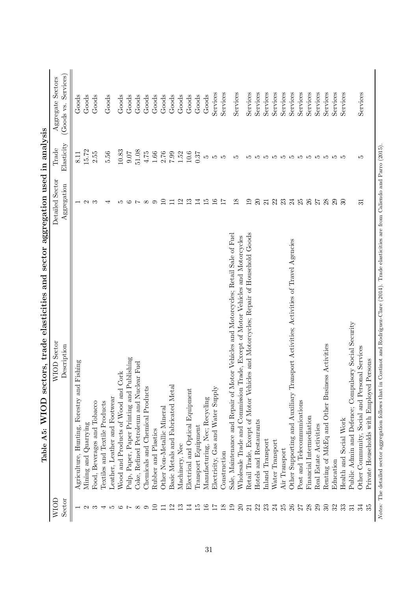<span id="page-30-0"></span>

| Aggregate Sectors<br>Services<br>Services<br>Services<br>Services<br>Services<br>Services<br>Services<br>Services<br>Services<br>Services<br>Services<br>Services<br>Services<br>Services<br>Services<br>Services<br>Goods<br>Goods<br>Goods<br>Goods<br>Goods<br>$\rm Goods$<br>Goods<br>Goods<br>Goods<br>$\operatorname{Good}$<br>Goods<br>Goods<br>Goods<br>Goods<br>Goods<br>(Goods vs.<br>Elasticity<br>Trade<br>15.72<br>51.08<br>10.83<br>5.56<br>2.55<br>4.75<br>$1.66\,$<br>0.07<br>2.76<br>66.7<br>1.52<br>$10.6\,$<br>0.37<br>8.11<br>rC<br>LC.<br>LC.<br>IJ<br>ro ro ro<br>rorororororo<br>مد<br>r.<br>Detailed Sector<br>Aggregation<br>12<br>16<br>22<br>23<br>2587<br>29<br>$\overline{10}$<br>13<br>$\overline{15}$<br>17<br>$\frac{8}{2}$<br>19<br>$\Omega$<br>24<br>28<br>14<br>$\overline{21}$<br>30<br>$\Box$<br>$\overline{3}$<br>$\circ$<br>مد<br>అ<br>$\infty$<br>$\mathbf{\Omega}$<br>ಌ<br>↤<br>L<br>Retail Trade, Except of Motor Vehicles and Motorcycles; Repair of Household Goods<br>Sale, Maintenance and Repair of Motor Vehicles and Motorcycles; Retail Sale of Fuel<br>Wholesale Trade and Commission Trade, Except of Motor Vehicles and Motorcycles<br>Other Supporting and Auxiliary Transport Activities; Activities of Travel Agencies<br>Public Admin and Defence; Compulsory Social Security<br><b>WIOD</b> Sector<br>Renting of M&Eq and Other Business Activities<br>Description<br>Other Community, Social and Personal Services<br>Pulp, Paper, Paper Printing and Publishing<br>Persons<br>Fishing<br>Coke, Refined Petroleum and Nuclear Fuel<br>Wood and Products of Wood and Cork<br>Private Households with Employed<br>Basic Metals and Fabricated Metal<br>Agriculture, Hunting, Forestry and<br>Chemicals and Chemical Products<br>Electricity, Gas and Water Supply<br>Electrical and Optical Equipment<br>Leather, Leather and Footwear<br>Manufacturing, Nec; Recycling<br>Post and Telecommunications<br>Textiles and Textile Products<br>Food, Beverages and Tobacco<br>Other Non-Metallic Mineral<br>Financial Intermediation<br>Health and Social Work<br>Hotels and Restaurants<br>Mining and Quarrying<br>Real Estate Activities<br>Transport Equipment<br>Rubber and Plastics<br>Inland Transport<br>Water Transport<br>Machinery, Nec<br>Air Transport<br>Construction<br>Education<br>Sector<br>25<br>29<br>$30\,$<br>34<br>35<br>$\overline{10}$<br>$\overline{12}$<br>13<br>14<br>$\overline{15}$<br>16<br>$\overline{17}$<br>$\frac{8}{18}$<br>$\overline{19}$<br>$\Omega$<br>22<br>23<br>$^{24}$<br>26<br>28<br>32<br>33<br>27<br>$\Box$<br>$\overline{c}$<br>$\overline{31}$<br>S<br>IJ<br>$\circ$<br>$\infty$<br>$\circ$<br>$\mathbf{\Omega}$<br>↤<br>$\overline{ }$ | MIOD | sector<br>and<br>sectors, trade elasticities<br>Table A5: WIOD | aggregation used in analysis |          |
|----------------------------------------------------------------------------------------------------------------------------------------------------------------------------------------------------------------------------------------------------------------------------------------------------------------------------------------------------------------------------------------------------------------------------------------------------------------------------------------------------------------------------------------------------------------------------------------------------------------------------------------------------------------------------------------------------------------------------------------------------------------------------------------------------------------------------------------------------------------------------------------------------------------------------------------------------------------------------------------------------------------------------------------------------------------------------------------------------------------------------------------------------------------------------------------------------------------------------------------------------------------------------------------------------------------------------------------------------------------------------------------------------------------------------------------------------------------------------------------------------------------------------------------------------------------------------------------------------------------------------------------------------------------------------------------------------------------------------------------------------------------------------------------------------------------------------------------------------------------------------------------------------------------------------------------------------------------------------------------------------------------------------------------------------------------------------------------------------------------------------------------------------------------------------------------------------------------------------------------------------------------------------------------------------------------------------------------------------------------------------------------------------------------------------------------------------------------------------------------------------------------------------------------------------------------------------------------------------------------------------------------------------------------------------------------------------------------------------------------------|------|----------------------------------------------------------------|------------------------------|----------|
|                                                                                                                                                                                                                                                                                                                                                                                                                                                                                                                                                                                                                                                                                                                                                                                                                                                                                                                                                                                                                                                                                                                                                                                                                                                                                                                                                                                                                                                                                                                                                                                                                                                                                                                                                                                                                                                                                                                                                                                                                                                                                                                                                                                                                                                                                                                                                                                                                                                                                                                                                                                                                                                                                                                                              |      |                                                                |                              | Services |
|                                                                                                                                                                                                                                                                                                                                                                                                                                                                                                                                                                                                                                                                                                                                                                                                                                                                                                                                                                                                                                                                                                                                                                                                                                                                                                                                                                                                                                                                                                                                                                                                                                                                                                                                                                                                                                                                                                                                                                                                                                                                                                                                                                                                                                                                                                                                                                                                                                                                                                                                                                                                                                                                                                                                              |      |                                                                |                              |          |
|                                                                                                                                                                                                                                                                                                                                                                                                                                                                                                                                                                                                                                                                                                                                                                                                                                                                                                                                                                                                                                                                                                                                                                                                                                                                                                                                                                                                                                                                                                                                                                                                                                                                                                                                                                                                                                                                                                                                                                                                                                                                                                                                                                                                                                                                                                                                                                                                                                                                                                                                                                                                                                                                                                                                              |      |                                                                |                              |          |
|                                                                                                                                                                                                                                                                                                                                                                                                                                                                                                                                                                                                                                                                                                                                                                                                                                                                                                                                                                                                                                                                                                                                                                                                                                                                                                                                                                                                                                                                                                                                                                                                                                                                                                                                                                                                                                                                                                                                                                                                                                                                                                                                                                                                                                                                                                                                                                                                                                                                                                                                                                                                                                                                                                                                              |      |                                                                |                              |          |
|                                                                                                                                                                                                                                                                                                                                                                                                                                                                                                                                                                                                                                                                                                                                                                                                                                                                                                                                                                                                                                                                                                                                                                                                                                                                                                                                                                                                                                                                                                                                                                                                                                                                                                                                                                                                                                                                                                                                                                                                                                                                                                                                                                                                                                                                                                                                                                                                                                                                                                                                                                                                                                                                                                                                              |      |                                                                |                              |          |
|                                                                                                                                                                                                                                                                                                                                                                                                                                                                                                                                                                                                                                                                                                                                                                                                                                                                                                                                                                                                                                                                                                                                                                                                                                                                                                                                                                                                                                                                                                                                                                                                                                                                                                                                                                                                                                                                                                                                                                                                                                                                                                                                                                                                                                                                                                                                                                                                                                                                                                                                                                                                                                                                                                                                              |      |                                                                |                              |          |
|                                                                                                                                                                                                                                                                                                                                                                                                                                                                                                                                                                                                                                                                                                                                                                                                                                                                                                                                                                                                                                                                                                                                                                                                                                                                                                                                                                                                                                                                                                                                                                                                                                                                                                                                                                                                                                                                                                                                                                                                                                                                                                                                                                                                                                                                                                                                                                                                                                                                                                                                                                                                                                                                                                                                              |      |                                                                |                              |          |
|                                                                                                                                                                                                                                                                                                                                                                                                                                                                                                                                                                                                                                                                                                                                                                                                                                                                                                                                                                                                                                                                                                                                                                                                                                                                                                                                                                                                                                                                                                                                                                                                                                                                                                                                                                                                                                                                                                                                                                                                                                                                                                                                                                                                                                                                                                                                                                                                                                                                                                                                                                                                                                                                                                                                              |      |                                                                |                              |          |
|                                                                                                                                                                                                                                                                                                                                                                                                                                                                                                                                                                                                                                                                                                                                                                                                                                                                                                                                                                                                                                                                                                                                                                                                                                                                                                                                                                                                                                                                                                                                                                                                                                                                                                                                                                                                                                                                                                                                                                                                                                                                                                                                                                                                                                                                                                                                                                                                                                                                                                                                                                                                                                                                                                                                              |      |                                                                |                              |          |
|                                                                                                                                                                                                                                                                                                                                                                                                                                                                                                                                                                                                                                                                                                                                                                                                                                                                                                                                                                                                                                                                                                                                                                                                                                                                                                                                                                                                                                                                                                                                                                                                                                                                                                                                                                                                                                                                                                                                                                                                                                                                                                                                                                                                                                                                                                                                                                                                                                                                                                                                                                                                                                                                                                                                              |      |                                                                |                              |          |
|                                                                                                                                                                                                                                                                                                                                                                                                                                                                                                                                                                                                                                                                                                                                                                                                                                                                                                                                                                                                                                                                                                                                                                                                                                                                                                                                                                                                                                                                                                                                                                                                                                                                                                                                                                                                                                                                                                                                                                                                                                                                                                                                                                                                                                                                                                                                                                                                                                                                                                                                                                                                                                                                                                                                              |      |                                                                |                              |          |
|                                                                                                                                                                                                                                                                                                                                                                                                                                                                                                                                                                                                                                                                                                                                                                                                                                                                                                                                                                                                                                                                                                                                                                                                                                                                                                                                                                                                                                                                                                                                                                                                                                                                                                                                                                                                                                                                                                                                                                                                                                                                                                                                                                                                                                                                                                                                                                                                                                                                                                                                                                                                                                                                                                                                              |      |                                                                |                              |          |
|                                                                                                                                                                                                                                                                                                                                                                                                                                                                                                                                                                                                                                                                                                                                                                                                                                                                                                                                                                                                                                                                                                                                                                                                                                                                                                                                                                                                                                                                                                                                                                                                                                                                                                                                                                                                                                                                                                                                                                                                                                                                                                                                                                                                                                                                                                                                                                                                                                                                                                                                                                                                                                                                                                                                              |      |                                                                |                              |          |
|                                                                                                                                                                                                                                                                                                                                                                                                                                                                                                                                                                                                                                                                                                                                                                                                                                                                                                                                                                                                                                                                                                                                                                                                                                                                                                                                                                                                                                                                                                                                                                                                                                                                                                                                                                                                                                                                                                                                                                                                                                                                                                                                                                                                                                                                                                                                                                                                                                                                                                                                                                                                                                                                                                                                              |      |                                                                |                              |          |
|                                                                                                                                                                                                                                                                                                                                                                                                                                                                                                                                                                                                                                                                                                                                                                                                                                                                                                                                                                                                                                                                                                                                                                                                                                                                                                                                                                                                                                                                                                                                                                                                                                                                                                                                                                                                                                                                                                                                                                                                                                                                                                                                                                                                                                                                                                                                                                                                                                                                                                                                                                                                                                                                                                                                              |      |                                                                |                              |          |
|                                                                                                                                                                                                                                                                                                                                                                                                                                                                                                                                                                                                                                                                                                                                                                                                                                                                                                                                                                                                                                                                                                                                                                                                                                                                                                                                                                                                                                                                                                                                                                                                                                                                                                                                                                                                                                                                                                                                                                                                                                                                                                                                                                                                                                                                                                                                                                                                                                                                                                                                                                                                                                                                                                                                              |      |                                                                |                              |          |
|                                                                                                                                                                                                                                                                                                                                                                                                                                                                                                                                                                                                                                                                                                                                                                                                                                                                                                                                                                                                                                                                                                                                                                                                                                                                                                                                                                                                                                                                                                                                                                                                                                                                                                                                                                                                                                                                                                                                                                                                                                                                                                                                                                                                                                                                                                                                                                                                                                                                                                                                                                                                                                                                                                                                              |      |                                                                |                              |          |
|                                                                                                                                                                                                                                                                                                                                                                                                                                                                                                                                                                                                                                                                                                                                                                                                                                                                                                                                                                                                                                                                                                                                                                                                                                                                                                                                                                                                                                                                                                                                                                                                                                                                                                                                                                                                                                                                                                                                                                                                                                                                                                                                                                                                                                                                                                                                                                                                                                                                                                                                                                                                                                                                                                                                              |      |                                                                |                              |          |
|                                                                                                                                                                                                                                                                                                                                                                                                                                                                                                                                                                                                                                                                                                                                                                                                                                                                                                                                                                                                                                                                                                                                                                                                                                                                                                                                                                                                                                                                                                                                                                                                                                                                                                                                                                                                                                                                                                                                                                                                                                                                                                                                                                                                                                                                                                                                                                                                                                                                                                                                                                                                                                                                                                                                              |      |                                                                |                              |          |
|                                                                                                                                                                                                                                                                                                                                                                                                                                                                                                                                                                                                                                                                                                                                                                                                                                                                                                                                                                                                                                                                                                                                                                                                                                                                                                                                                                                                                                                                                                                                                                                                                                                                                                                                                                                                                                                                                                                                                                                                                                                                                                                                                                                                                                                                                                                                                                                                                                                                                                                                                                                                                                                                                                                                              |      |                                                                |                              |          |
|                                                                                                                                                                                                                                                                                                                                                                                                                                                                                                                                                                                                                                                                                                                                                                                                                                                                                                                                                                                                                                                                                                                                                                                                                                                                                                                                                                                                                                                                                                                                                                                                                                                                                                                                                                                                                                                                                                                                                                                                                                                                                                                                                                                                                                                                                                                                                                                                                                                                                                                                                                                                                                                                                                                                              |      |                                                                |                              |          |
|                                                                                                                                                                                                                                                                                                                                                                                                                                                                                                                                                                                                                                                                                                                                                                                                                                                                                                                                                                                                                                                                                                                                                                                                                                                                                                                                                                                                                                                                                                                                                                                                                                                                                                                                                                                                                                                                                                                                                                                                                                                                                                                                                                                                                                                                                                                                                                                                                                                                                                                                                                                                                                                                                                                                              |      |                                                                |                              |          |
|                                                                                                                                                                                                                                                                                                                                                                                                                                                                                                                                                                                                                                                                                                                                                                                                                                                                                                                                                                                                                                                                                                                                                                                                                                                                                                                                                                                                                                                                                                                                                                                                                                                                                                                                                                                                                                                                                                                                                                                                                                                                                                                                                                                                                                                                                                                                                                                                                                                                                                                                                                                                                                                                                                                                              |      |                                                                |                              |          |
|                                                                                                                                                                                                                                                                                                                                                                                                                                                                                                                                                                                                                                                                                                                                                                                                                                                                                                                                                                                                                                                                                                                                                                                                                                                                                                                                                                                                                                                                                                                                                                                                                                                                                                                                                                                                                                                                                                                                                                                                                                                                                                                                                                                                                                                                                                                                                                                                                                                                                                                                                                                                                                                                                                                                              |      |                                                                |                              |          |
|                                                                                                                                                                                                                                                                                                                                                                                                                                                                                                                                                                                                                                                                                                                                                                                                                                                                                                                                                                                                                                                                                                                                                                                                                                                                                                                                                                                                                                                                                                                                                                                                                                                                                                                                                                                                                                                                                                                                                                                                                                                                                                                                                                                                                                                                                                                                                                                                                                                                                                                                                                                                                                                                                                                                              |      |                                                                |                              |          |
|                                                                                                                                                                                                                                                                                                                                                                                                                                                                                                                                                                                                                                                                                                                                                                                                                                                                                                                                                                                                                                                                                                                                                                                                                                                                                                                                                                                                                                                                                                                                                                                                                                                                                                                                                                                                                                                                                                                                                                                                                                                                                                                                                                                                                                                                                                                                                                                                                                                                                                                                                                                                                                                                                                                                              |      |                                                                |                              |          |
|                                                                                                                                                                                                                                                                                                                                                                                                                                                                                                                                                                                                                                                                                                                                                                                                                                                                                                                                                                                                                                                                                                                                                                                                                                                                                                                                                                                                                                                                                                                                                                                                                                                                                                                                                                                                                                                                                                                                                                                                                                                                                                                                                                                                                                                                                                                                                                                                                                                                                                                                                                                                                                                                                                                                              |      |                                                                |                              |          |
|                                                                                                                                                                                                                                                                                                                                                                                                                                                                                                                                                                                                                                                                                                                                                                                                                                                                                                                                                                                                                                                                                                                                                                                                                                                                                                                                                                                                                                                                                                                                                                                                                                                                                                                                                                                                                                                                                                                                                                                                                                                                                                                                                                                                                                                                                                                                                                                                                                                                                                                                                                                                                                                                                                                                              |      |                                                                |                              |          |
|                                                                                                                                                                                                                                                                                                                                                                                                                                                                                                                                                                                                                                                                                                                                                                                                                                                                                                                                                                                                                                                                                                                                                                                                                                                                                                                                                                                                                                                                                                                                                                                                                                                                                                                                                                                                                                                                                                                                                                                                                                                                                                                                                                                                                                                                                                                                                                                                                                                                                                                                                                                                                                                                                                                                              |      |                                                                |                              |          |
|                                                                                                                                                                                                                                                                                                                                                                                                                                                                                                                                                                                                                                                                                                                                                                                                                                                                                                                                                                                                                                                                                                                                                                                                                                                                                                                                                                                                                                                                                                                                                                                                                                                                                                                                                                                                                                                                                                                                                                                                                                                                                                                                                                                                                                                                                                                                                                                                                                                                                                                                                                                                                                                                                                                                              |      |                                                                |                              |          |
|                                                                                                                                                                                                                                                                                                                                                                                                                                                                                                                                                                                                                                                                                                                                                                                                                                                                                                                                                                                                                                                                                                                                                                                                                                                                                                                                                                                                                                                                                                                                                                                                                                                                                                                                                                                                                                                                                                                                                                                                                                                                                                                                                                                                                                                                                                                                                                                                                                                                                                                                                                                                                                                                                                                                              |      |                                                                |                              |          |
|                                                                                                                                                                                                                                                                                                                                                                                                                                                                                                                                                                                                                                                                                                                                                                                                                                                                                                                                                                                                                                                                                                                                                                                                                                                                                                                                                                                                                                                                                                                                                                                                                                                                                                                                                                                                                                                                                                                                                                                                                                                                                                                                                                                                                                                                                                                                                                                                                                                                                                                                                                                                                                                                                                                                              |      |                                                                |                              |          |
|                                                                                                                                                                                                                                                                                                                                                                                                                                                                                                                                                                                                                                                                                                                                                                                                                                                                                                                                                                                                                                                                                                                                                                                                                                                                                                                                                                                                                                                                                                                                                                                                                                                                                                                                                                                                                                                                                                                                                                                                                                                                                                                                                                                                                                                                                                                                                                                                                                                                                                                                                                                                                                                                                                                                              |      |                                                                |                              |          |
|                                                                                                                                                                                                                                                                                                                                                                                                                                                                                                                                                                                                                                                                                                                                                                                                                                                                                                                                                                                                                                                                                                                                                                                                                                                                                                                                                                                                                                                                                                                                                                                                                                                                                                                                                                                                                                                                                                                                                                                                                                                                                                                                                                                                                                                                                                                                                                                                                                                                                                                                                                                                                                                                                                                                              |      |                                                                |                              |          |
|                                                                                                                                                                                                                                                                                                                                                                                                                                                                                                                                                                                                                                                                                                                                                                                                                                                                                                                                                                                                                                                                                                                                                                                                                                                                                                                                                                                                                                                                                                                                                                                                                                                                                                                                                                                                                                                                                                                                                                                                                                                                                                                                                                                                                                                                                                                                                                                                                                                                                                                                                                                                                                                                                                                                              |      |                                                                |                              |          |
|                                                                                                                                                                                                                                                                                                                                                                                                                                                                                                                                                                                                                                                                                                                                                                                                                                                                                                                                                                                                                                                                                                                                                                                                                                                                                                                                                                                                                                                                                                                                                                                                                                                                                                                                                                                                                                                                                                                                                                                                                                                                                                                                                                                                                                                                                                                                                                                                                                                                                                                                                                                                                                                                                                                                              |      |                                                                |                              |          |

 $\ddot{\cdot}$  $\ddot{\cdot}$  $\rightarrow$ ł,  $\cdots$ l, ŀ,  $\overline{\phantom{a}}$  $\ddot{ }$  $\frac{1}{2}$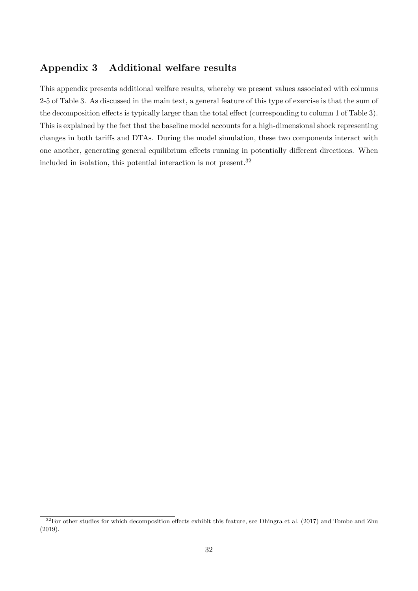## Appendix 3 Additional welfare results

This appendix presents additional welfare results, whereby we present values associated with columns 2-5 of Table [3.](#page-18-0) As discussed in the main text, a general feature of this type of exercise is that the sum of the decomposition effects is typically larger than the total effect (corresponding to column 1 of Table [3\)](#page-18-0). This is explained by the fact that the baseline model accounts for a high-dimensional shock representing changes in both tariffs and DTAs. During the model simulation, these two components interact with one another, generating general equilibrium effects running in potentially different directions. When included in isolation, this potential interaction is not present.[32](#page-31-0)

<span id="page-31-0"></span> $32$ For other studies for which decomposition effects exhibit this feature, see [Dhingra et al.](#page-25-5) [\(2017\)](#page-25-5) and [Tombe and Zhu](#page-27-2) [\(2019\)](#page-27-2).